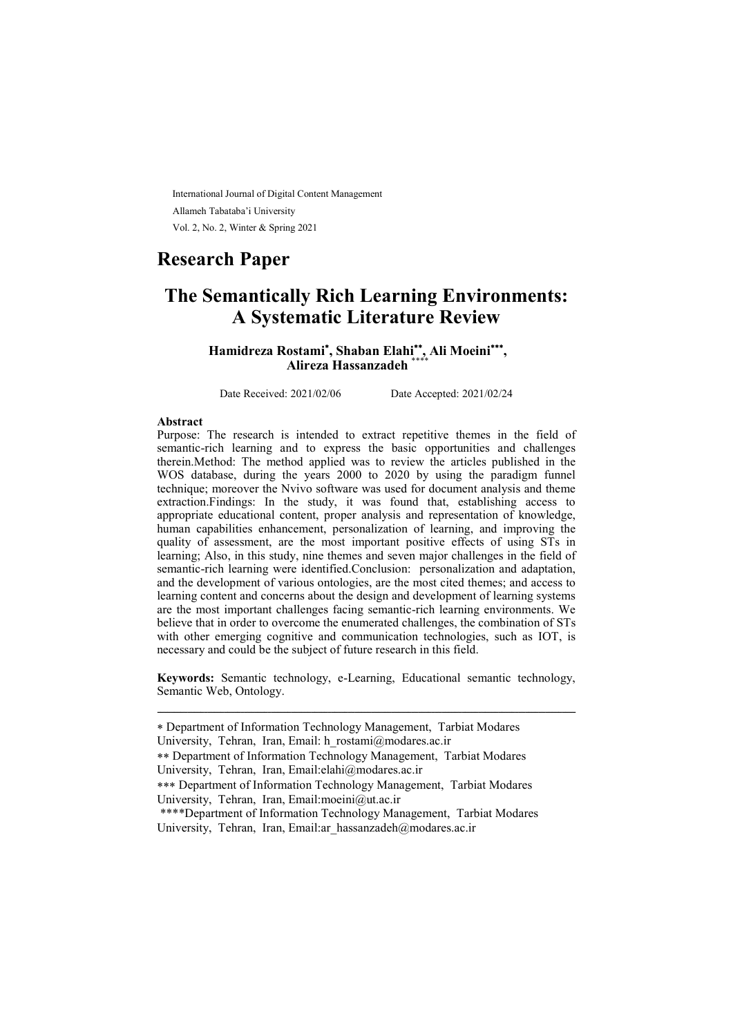International Journal of Digital Content Management Allameh Tabataba'i University Vol. 2, No. 2, Winter & Spring 2021

## Research Paper

# The Semantically Rich Learning Environments: A Systematic Literature Review

Hamidreza Rostami<sup>\*</sup>, Shaban Elahi<sup>\*\*</sup>, Ali Moeini<sup>\*\*\*</sup>, Alireza Hassanzadeh \*\*\*\*

Date Received: 2021/02/06 Date Accepted: 2021/02/24

#### Abstract

Purpose: The research is intended to extract repetitive themes in the field of semantic-rich learning and to express the basic opportunities and challenges therein.Method: The method applied was to review the articles published in the WOS database, during the years 2000 to 2020 by using the paradigm funnel technique; moreover the Nvivo software was used for document analysis and theme extraction.Findings: In the study, it was found that, establishing access to appropriate educational content, proper analysis and representation of knowledge, human capabilities enhancement, personalization of learning, and improving the quality of assessment, are the most important positive effects of using STs in learning; Also, in this study, nine themes and seven major challenges in the field of semantic-rich learning were identified.Conclusion: personalization and adaptation, and the development of various ontologies, are the most cited themes; and access to learning content and concerns about the design and development of learning systems are the most important challenges facing semantic-rich learning environments. We believe that in order to overcome the enumerated challenges, the combination of STs with other emerging cognitive and communication technologies, such as IOT, is necessary and could be the subject of future research in this field.

Keywords: Semantic technology, e-Learning, Educational semantic technology, Semantic Web, Ontology.

ـــــــــــــــــــــــــــــــــــــــــــــــــــــــــــــــــــــــــــــــــــــــــــــــــــــــــــــــــــــــــــــ

Department of Information Technology Management, Tarbiat Modares University, Tehran, Iran, Email: h\_rostami@modares.ac.ir

Department of Information Technology Management, Tarbiat Modares University, Tehran, Iran, Email:elahi@modares.ac.ir

Department of Information Technology Management, Tarbiat Modares University, Tehran, Iran, Email:moeini@ut.ac.ir

<sup>\*\*\*\*</sup>Department of Information Technology Management, Tarbiat Modares University, Tehran, Iran, Email:ar\_hassanzadeh@modares.ac.ir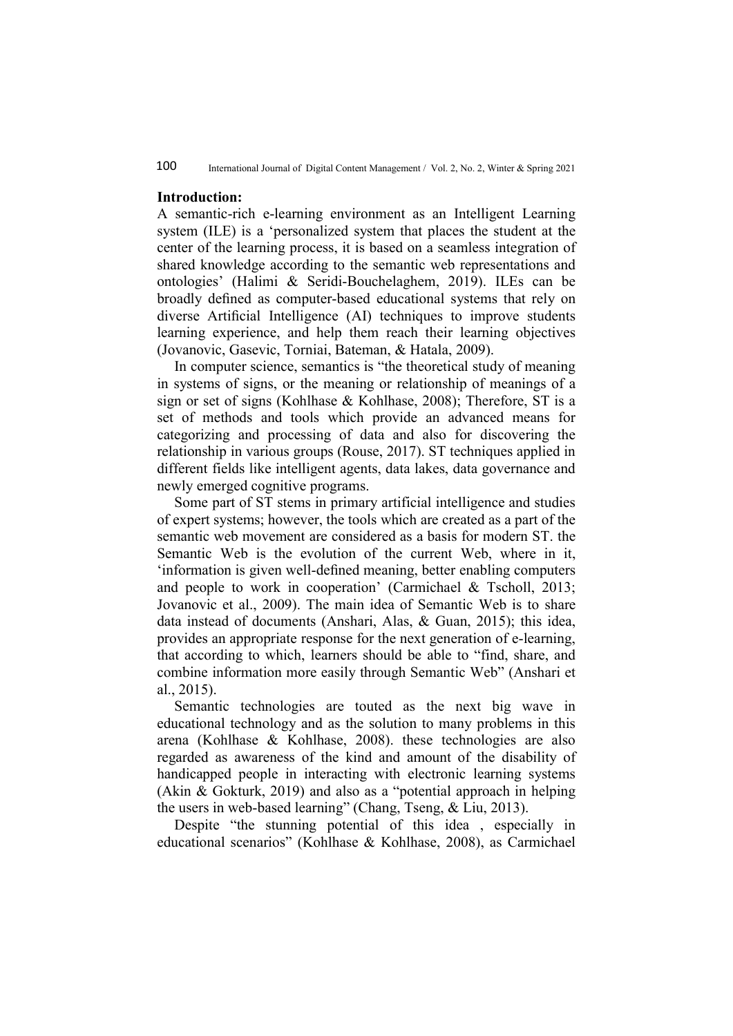#### Introduction:

A semantic-rich e-learning environment as an Intelligent Learning system (ILE) is a 'personalized system that places the student at the center of the learning process, it is based on a seamless integration of shared knowledge according to the semantic web representations and ontologies' (Halimi & Seridi-Bouchelaghem, 2019). ILEs can be broadly defined as computer-based educational systems that rely on diverse Artificial Intelligence (AI) techniques to improve students learning experience, and help them reach their learning objectives (Jovanovic, Gasevic, Torniai, Bateman, & Hatala, 2009).

In computer science, semantics is "the theoretical study of meaning in systems of signs, or the meaning or relationship of meanings of a sign or set of signs (Kohlhase & Kohlhase, 2008); Therefore, ST is a set of methods and tools which provide an advanced means for categorizing and processing of data and also for discovering the relationship in various groups (Rouse, 2017). ST techniques applied in different fields like intelligent agents, data lakes, data governance and newly emerged cognitive programs.

Some part of ST stems in primary artificial intelligence and studies of expert systems; however, the tools which are created as a part of the semantic web movement are considered as a basis for modern ST. the Semantic Web is the evolution of the current Web, where in it, 'information is given well-defined meaning, better enabling computers and people to work in cooperation' (Carmichael & Tscholl, 2013; Jovanovic et al., 2009). The main idea of Semantic Web is to share data instead of documents (Anshari, Alas, & Guan, 2015); this idea, provides an appropriate response for the next generation of e-learning, that according to which, learners should be able to "find, share, and combine information more easily through Semantic Web" (Anshari et al., 2015).

Semantic technologies are touted as the next big wave in educational technology and as the solution to many problems in this arena (Kohlhase & Kohlhase, 2008). these technologies are also regarded as awareness of the kind and amount of the disability of handicapped people in interacting with electronic learning systems (Akin & Gokturk, 2019) and also as a "potential approach in helping the users in web-based learning" (Chang, Tseng, & Liu, 2013).

Despite "the stunning potential of this idea , especially in educational scenarios" (Kohlhase & Kohlhase, 2008), as Carmichael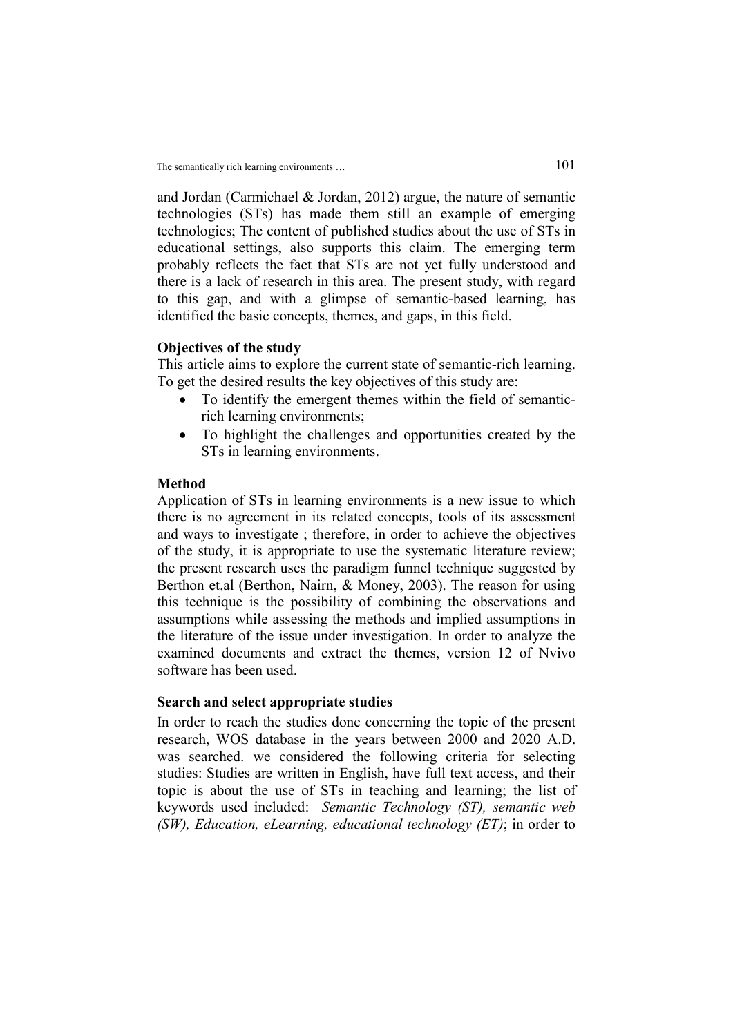and Jordan (Carmichael & Jordan, 2012) argue, the nature of semantic technologies (STs) has made them still an example of emerging technologies; The content of published studies about the use of STs in educational settings, also supports this claim. The emerging term probably reflects the fact that STs are not yet fully understood and there is a lack of research in this area. The present study, with regard to this gap, and with a glimpse of semantic-based learning, has identified the basic concepts, themes, and gaps, in this field.

#### Objectives of the study

This article aims to explore the current state of semantic-rich learning. To get the desired results the key objectives of this study are:

- To identify the emergent themes within the field of semanticrich learning environments;
- To highlight the challenges and opportunities created by the STs in learning environments.

#### Method

Application of STs in learning environments is a new issue to which there is no agreement in its related concepts, tools of its assessment and ways to investigate ; therefore, in order to achieve the objectives of the study, it is appropriate to use the systematic literature review; the present research uses the paradigm funnel technique suggested by Berthon et.al (Berthon, Nairn, & Money, 2003). The reason for using this technique is the possibility of combining the observations and assumptions while assessing the methods and implied assumptions in the literature of the issue under investigation. In order to analyze the examined documents and extract the themes, version 12 of Nvivo software has been used.

## Search and select appropriate studies

In order to reach the studies done concerning the topic of the present research, WOS database in the years between 2000 and 2020 A.D. was searched. we considered the following criteria for selecting studies: Studies are written in English, have full text access, and their topic is about the use of STs in teaching and learning; the list of keywords used included: Semantic Technology (ST), semantic web (SW), Education, eLearning, educational technology  $(ET)$ ; in order to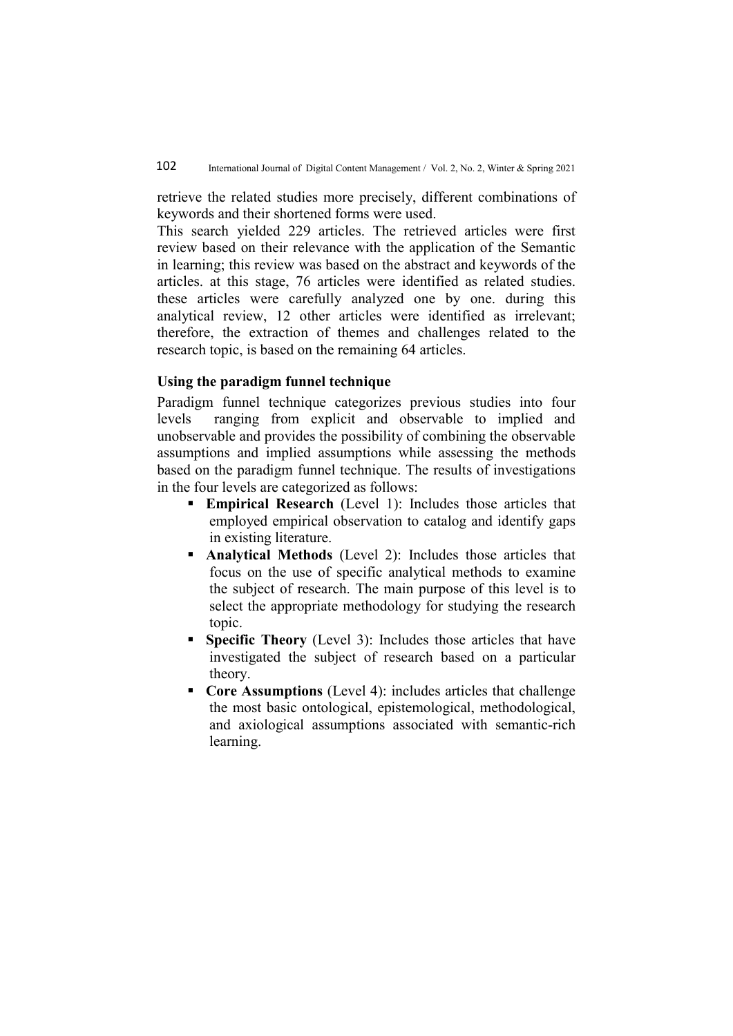retrieve the related studies more precisely, different combinations of keywords and their shortened forms were used.

This search yielded 229 articles. The retrieved articles were first review based on their relevance with the application of the Semantic in learning; this review was based on the abstract and keywords of the articles. at this stage, 76 articles were identified as related studies. these articles were carefully analyzed one by one. during this analytical review, 12 other articles were identified as irrelevant; therefore, the extraction of themes and challenges related to the research topic, is based on the remaining 64 articles.

## Using the paradigm funnel technique

Paradigm funnel technique categorizes previous studies into four levels ranging from explicit and observable to implied and unobservable and provides the possibility of combining the observable assumptions and implied assumptions while assessing the methods based on the paradigm funnel technique. The results of investigations in the four levels are categorized as follows:

- **Empirical Research** (Level 1): Includes those articles that employed empirical observation to catalog and identify gaps in existing literature.
- **Analytical Methods** (Level 2): Includes those articles that focus on the use of specific analytical methods to examine the subject of research. The main purpose of this level is to select the appropriate methodology for studying the research topic.
- **Specific Theory** (Level 3): Includes those articles that have investigated the subject of research based on a particular theory.
- Core Assumptions (Level 4): includes articles that challenge the most basic ontological, epistemological, methodological, and axiological assumptions associated with semantic-rich learning.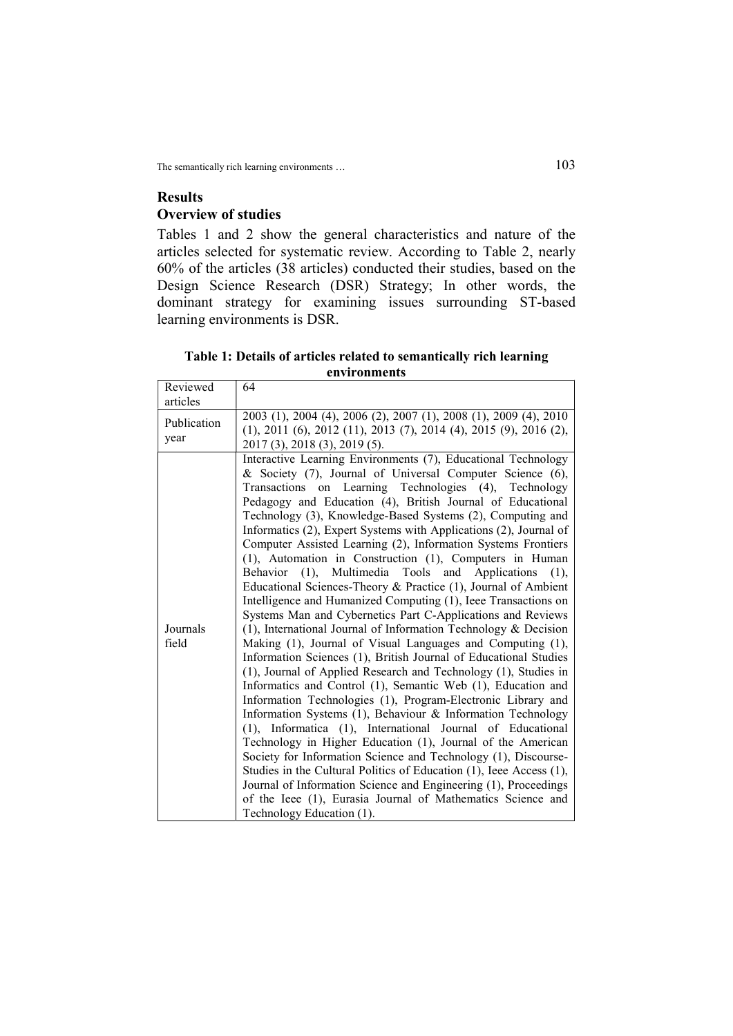## Results Overview of studies

Tables 1 and 2 show the general characteristics and nature of the articles selected for systematic review. According to Table 2, nearly 60% of the articles (38 articles) conducted their studies, based on the Design Science Research (DSR) Strategy; In other words, the dominant strategy for examining issues surrounding ST-based learning environments is DSR.

### Table 1: Details of articles related to semantically rich learning environments

| Reviewed<br>articles | 64                                                                                                                                                                                                                                                                                                                                                                                                                                                                                                                                                                                                                                                                                                                                                                                                                                                                                                                                                                                                                                                                                                                                                                                                                                                                                                                                                                                                                                                                                                                                                                                                                                                                                                         |
|----------------------|------------------------------------------------------------------------------------------------------------------------------------------------------------------------------------------------------------------------------------------------------------------------------------------------------------------------------------------------------------------------------------------------------------------------------------------------------------------------------------------------------------------------------------------------------------------------------------------------------------------------------------------------------------------------------------------------------------------------------------------------------------------------------------------------------------------------------------------------------------------------------------------------------------------------------------------------------------------------------------------------------------------------------------------------------------------------------------------------------------------------------------------------------------------------------------------------------------------------------------------------------------------------------------------------------------------------------------------------------------------------------------------------------------------------------------------------------------------------------------------------------------------------------------------------------------------------------------------------------------------------------------------------------------------------------------------------------------|
| Publication<br>year  | 2003 (1), 2004 (4), 2006 (2), 2007 (1), 2008 (1), 2009 (4), 2010<br>$(1)$ , 2011 $(6)$ , 2012 $(11)$ , 2013 $(7)$ , 2014 $(4)$ , 2015 $(9)$ , 2016 $(2)$ ,<br>2017 (3), 2018 (3), 2019 (5).                                                                                                                                                                                                                                                                                                                                                                                                                                                                                                                                                                                                                                                                                                                                                                                                                                                                                                                                                                                                                                                                                                                                                                                                                                                                                                                                                                                                                                                                                                                |
| Journals<br>field    | Interactive Learning Environments (7), Educational Technology<br>& Society (7), Journal of Universal Computer Science (6),<br>on Learning Technologies (4), Technology<br>Transactions<br>Pedagogy and Education (4), British Journal of Educational<br>Technology (3), Knowledge-Based Systems (2), Computing and<br>Informatics (2), Expert Systems with Applications (2), Journal of<br>Computer Assisted Learning (2), Information Systems Frontiers<br>(1), Automation in Construction (1), Computers in Human<br>(1), Multimedia Tools and Applications<br><b>Behavior</b><br>(1),<br>Educational Sciences-Theory & Practice (1), Journal of Ambient<br>Intelligence and Humanized Computing (1), Ieee Transactions on<br>Systems Man and Cybernetics Part C-Applications and Reviews<br>$(1)$ , International Journal of Information Technology & Decision<br>Making (1), Journal of Visual Languages and Computing (1),<br>Information Sciences (1), British Journal of Educational Studies<br>(1), Journal of Applied Research and Technology (1), Studies in<br>Informatics and Control (1), Semantic Web (1), Education and<br>Information Technologies (1), Program-Electronic Library and<br>Information Systems (1), Behaviour & Information Technology<br>(1), Informatica (1), International Journal of Educational<br>Technology in Higher Education (1), Journal of the American<br>Society for Information Science and Technology (1), Discourse-<br>Studies in the Cultural Politics of Education (1), Ieee Access (1),<br>Journal of Information Science and Engineering (1), Proceedings<br>of the Ieee (1), Eurasia Journal of Mathematics Science and<br>Technology Education (1). |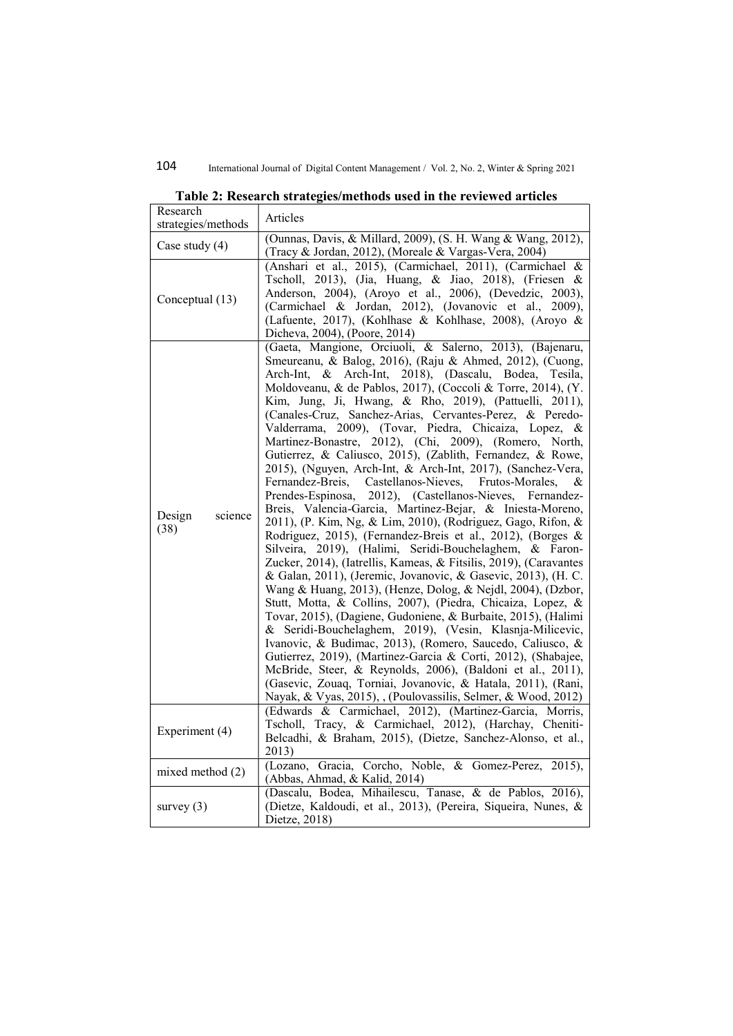| Research<br>strategies/methods | Articles                                                                                                                                                                                                                                                                                                                                                                                                                                                                                                                                                                                                                                                                                                                                                                                                                                                                                                                                                                                                                                                                                                                                                                                                                                                                                                                                                                                                                                                                                                                                                                                                                                                                                                                                            |
|--------------------------------|-----------------------------------------------------------------------------------------------------------------------------------------------------------------------------------------------------------------------------------------------------------------------------------------------------------------------------------------------------------------------------------------------------------------------------------------------------------------------------------------------------------------------------------------------------------------------------------------------------------------------------------------------------------------------------------------------------------------------------------------------------------------------------------------------------------------------------------------------------------------------------------------------------------------------------------------------------------------------------------------------------------------------------------------------------------------------------------------------------------------------------------------------------------------------------------------------------------------------------------------------------------------------------------------------------------------------------------------------------------------------------------------------------------------------------------------------------------------------------------------------------------------------------------------------------------------------------------------------------------------------------------------------------------------------------------------------------------------------------------------------------|
| Case study $(4)$               | (Ounnas, Davis, & Millard, 2009), (S. H. Wang & Wang, 2012),<br>(Tracy & Jordan, 2012), (Moreale & Vargas-Vera, 2004)                                                                                                                                                                                                                                                                                                                                                                                                                                                                                                                                                                                                                                                                                                                                                                                                                                                                                                                                                                                                                                                                                                                                                                                                                                                                                                                                                                                                                                                                                                                                                                                                                               |
| Conceptual (13)                | (Anshari et al., 2015), (Carmichael, 2011), (Carmichael &<br>Tscholl, 2013), (Jia, Huang, & Jiao, 2018), (Friesen &<br>Anderson, 2004), (Aroyo et al., 2006), (Devedzic, 2003),<br>(Carmichael & Jordan, 2012), (Jovanovic et al., 2009),<br>(Lafuente, 2017), (Kohlhase & Kohlhase, 2008), (Aroyo &<br>Dicheva, 2004), (Poore, 2014)                                                                                                                                                                                                                                                                                                                                                                                                                                                                                                                                                                                                                                                                                                                                                                                                                                                                                                                                                                                                                                                                                                                                                                                                                                                                                                                                                                                                               |
| science<br>Design<br>(38)      | (Gaeta, Mangione, Orciuoli, & Salerno, 2013), (Bajenaru,<br>Smeureanu, & Balog, 2016), (Raju & Ahmed, 2012), (Cuong,<br>Arch-Int,<br>2018), (Dascalu, Bodea,<br>Arch-Int, &<br>Tesila,<br>Moldoveanu, & de Pablos, 2017), (Coccoli & Torre, 2014), (Y.<br>Kim, Jung, Ji, Hwang, & Rho, 2019), (Pattuelli, 2011),<br>(Canales-Cruz, Sanchez-Arias, Cervantes-Perez, & Peredo-<br>Valderrama, 2009), (Tovar, Piedra, Chicaiza, Lopez, &<br>Martinez-Bonastre, 2012), (Chi, 2009), (Romero, North,<br>Gutierrez, & Caliusco, 2015), (Zablith, Fernandez, & Rowe,<br>2015), (Nguyen, Arch-Int, & Arch-Int, 2017), (Sanchez-Vera,<br>Castellanos-Nieves,<br>Fernandez-Breis,<br>Frutos-Morales,<br>&<br>Prendes-Espinosa,<br>2012), (Castellanos-Nieves, Fernandez-<br>Breis, Valencia-Garcia, Martinez-Bejar, & Iniesta-Moreno,<br>2011), (P. Kim, Ng, & Lim, 2010), (Rodriguez, Gago, Rifon, &<br>Rodriguez, 2015), (Fernandez-Breis et al., 2012), (Borges &<br>Silveira, 2019), (Halimi, Seridi-Bouchelaghem, & Faron-<br>Zucker, 2014), (Iatrellis, Kameas, & Fitsilis, 2019), (Caravantes<br>& Galan, 2011), (Jeremic, Jovanovic, & Gasevic, 2013), (H. C.<br>Wang & Huang, 2013), (Henze, Dolog, & Nejdl, 2004), (Dzbor,<br>Stutt, Motta, & Collins, 2007), (Piedra, Chicaiza, Lopez, &<br>Tovar, 2015), (Dagiene, Gudoniene, & Burbaite, 2015), (Halimi<br>& Seridi-Bouchelaghem, 2019), (Vesin, Klasnja-Milicevic,<br>Ivanovic, & Budimac, 2013), (Romero, Saucedo, Caliusco, &<br>Gutierrez, 2019), (Martinez-Garcia & Corti, 2012), (Shabajee,<br>McBride, Steer, & Reynolds, 2006), (Baldoni et al., 2011),<br>(Gasevic, Zouaq, Torniai, Jovanovic, & Hatala, 2011), (Rani,<br>Nayak, & Vyas, 2015), , (Poulovassilis, Selmer, & Wood, 2012) |
| Experiment (4)                 | (Edwards & Carmichael, 2012), (Martinez-Garcia, Morris,<br>Tscholl, Tracy, & Carmichael, 2012), (Harchay, Cheniti-<br>Belcadhi, & Braham, 2015), (Dietze, Sanchez-Alonso, et al.,<br>2013)                                                                                                                                                                                                                                                                                                                                                                                                                                                                                                                                                                                                                                                                                                                                                                                                                                                                                                                                                                                                                                                                                                                                                                                                                                                                                                                                                                                                                                                                                                                                                          |
| mixed method $(2)$             | (Lozano, Gracia, Corcho, Noble, & Gomez-Perez, 2015),<br>(Abbas, Ahmad, & Kalid, 2014)                                                                                                                                                                                                                                                                                                                                                                                                                                                                                                                                                                                                                                                                                                                                                                                                                                                                                                                                                                                                                                                                                                                                                                                                                                                                                                                                                                                                                                                                                                                                                                                                                                                              |
| survey $(3)$                   | (Dascalu, Bodea, Mihailescu, Tanase, & de Pablos, 2016),<br>(Dietze, Kaldoudi, et al., 2013), (Pereira, Siqueira, Nunes, &<br>Dietze, 2018)                                                                                                                                                                                                                                                                                                                                                                                                                                                                                                                                                                                                                                                                                                                                                                                                                                                                                                                                                                                                                                                                                                                                                                                                                                                                                                                                                                                                                                                                                                                                                                                                         |

|  | Table 2: Research strategies/methods used in the reviewed articles |
|--|--------------------------------------------------------------------|
|  |                                                                    |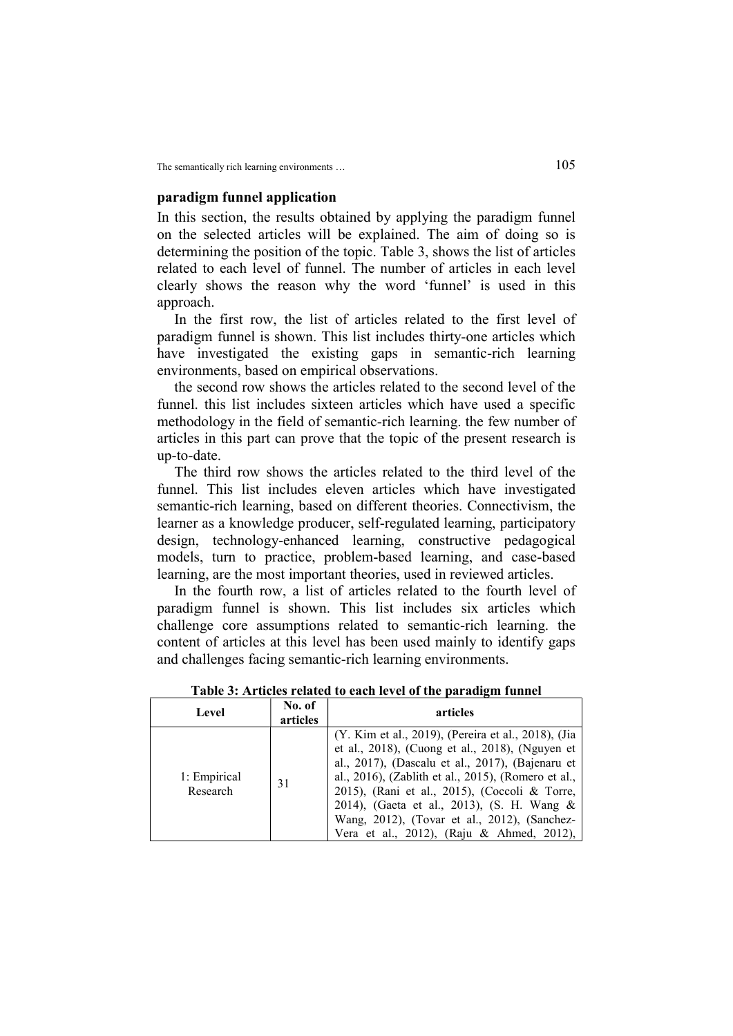#### paradigm funnel application

In this section, the results obtained by applying the paradigm funnel on the selected articles will be explained. The aim of doing so is determining the position of the topic. Table 3, shows the list of articles related to each level of funnel. The number of articles in each level clearly shows the reason why the word 'funnel' is used in this approach.

In the first row, the list of articles related to the first level of paradigm funnel is shown. This list includes thirty-one articles which have investigated the existing gaps in semantic-rich learning environments, based on empirical observations.

the second row shows the articles related to the second level of the funnel. this list includes sixteen articles which have used a specific methodology in the field of semantic-rich learning. the few number of articles in this part can prove that the topic of the present research is up-to-date.

The third row shows the articles related to the third level of the funnel. This list includes eleven articles which have investigated semantic-rich learning, based on different theories. Connectivism, the learner as a knowledge producer, self-regulated learning, participatory design, technology-enhanced learning, constructive pedagogical models, turn to practice, problem-based learning, and case-based learning, are the most important theories, used in reviewed articles.

In the fourth row, a list of articles related to the fourth level of paradigm funnel is shown. This list includes six articles which challenge core assumptions related to semantic-rich learning. the content of articles at this level has been used mainly to identify gaps and challenges facing semantic-rich learning environments.

| Level                    | No. of<br>articles | articles                                                                                                                                                                                                                                                                                                                                                                                                      |
|--------------------------|--------------------|---------------------------------------------------------------------------------------------------------------------------------------------------------------------------------------------------------------------------------------------------------------------------------------------------------------------------------------------------------------------------------------------------------------|
| 1: Empirical<br>Research | 31                 | (Y. Kim et al., 2019), (Pereira et al., 2018), (Jia<br>et al., 2018), (Cuong et al., 2018), (Nguyen et<br>al., 2017), (Dascalu et al., 2017), (Bajenaru et<br>al., 2016), (Zablith et al., 2015), (Romero et al.,<br>2015), (Rani et al., 2015), (Coccoli & Torre,<br>2014), (Gaeta et al., 2013), (S. H. Wang &<br>Wang, 2012), (Tovar et al., 2012), (Sanchez-<br>Vera et al., 2012), (Raju & Ahmed, 2012), |

Table 3: Articles related to each level of the paradigm funnel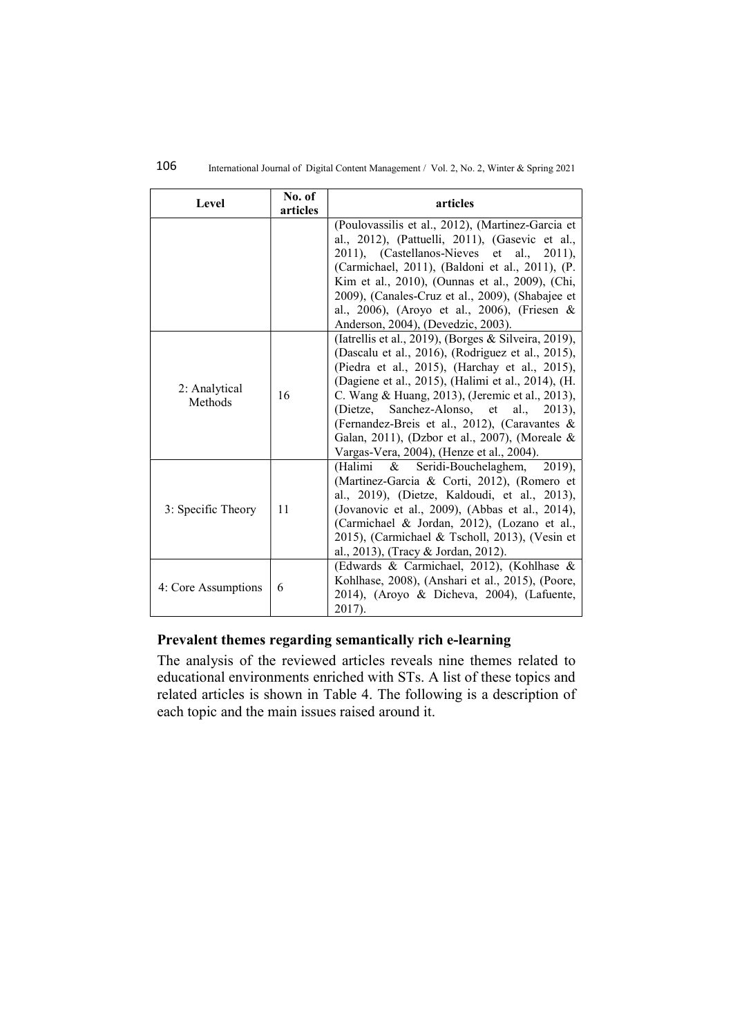## 106 International Journal of Digital Content Management / Vol. 2, No. 2, Winter & Spring 2021

| Level                    | No. of<br>articles | articles                                                                                                                                                                                                                                                                                                                                                                                                                                                        |
|--------------------------|--------------------|-----------------------------------------------------------------------------------------------------------------------------------------------------------------------------------------------------------------------------------------------------------------------------------------------------------------------------------------------------------------------------------------------------------------------------------------------------------------|
|                          |                    | (Poulovassilis et al., 2012), (Martinez-Garcia et<br>al., 2012), (Pattuelli, 2011), (Gasevic et al.,<br>2011), (Castellanos-Nieves et al., 2011),<br>(Carmichael, 2011), (Baldoni et al., 2011), (P.<br>Kim et al., 2010), (Ounnas et al., 2009), (Chi,<br>2009), (Canales-Cruz et al., 2009), (Shabajee et<br>al., 2006), (Aroyo et al., 2006), (Friesen &<br>Anderson, 2004), (Devedzic, 2003).                                                               |
| 2: Analytical<br>Methods | 16                 | (Iatrellis et al., 2019), (Borges & Silveira, 2019),<br>(Dascalu et al., 2016), (Rodriguez et al., 2015),<br>(Piedra et al., 2015), (Harchay et al., 2015),<br>(Dagiene et al., 2015), (Halimi et al., 2014), (H.<br>C. Wang & Huang, 2013), (Jeremic et al., 2013),<br>(Dietze, Sanchez-Alonso, et al., 2013),<br>(Fernandez-Breis et al., 2012), (Caravantes &<br>Galan, 2011), (Dzbor et al., 2007), (Moreale &<br>Vargas-Vera, 2004), (Henze et al., 2004). |
| 3: Specific Theory       | 11                 | Seridi-Bouchelaghem,<br>$2019$ ,<br>(Halimi<br>&<br>(Martinez-Garcia & Corti, 2012), (Romero et<br>al., 2019), (Dietze, Kaldoudi, et al., 2013),<br>(Jovanovic et al., 2009), (Abbas et al., 2014),<br>(Carmichael & Jordan, 2012), (Lozano et al.,<br>2015), (Carmichael & Tscholl, 2013), (Vesin et<br>al., 2013), (Tracy & Jordan, 2012).                                                                                                                    |
| 4: Core Assumptions      | 6                  | (Edwards & Carmichael, 2012), (Kohlhase &<br>Kohlhase, 2008), (Anshari et al., 2015), (Poore,<br>2014), (Aroyo & Dicheva, 2004), (Lafuente,<br>2017).                                                                                                                                                                                                                                                                                                           |

## Prevalent themes regarding semantically rich e-learning

The analysis of the reviewed articles reveals nine themes related to educational environments enriched with STs. A list of these topics and related articles is shown in Table 4. The following is a description of each topic and the main issues raised around it.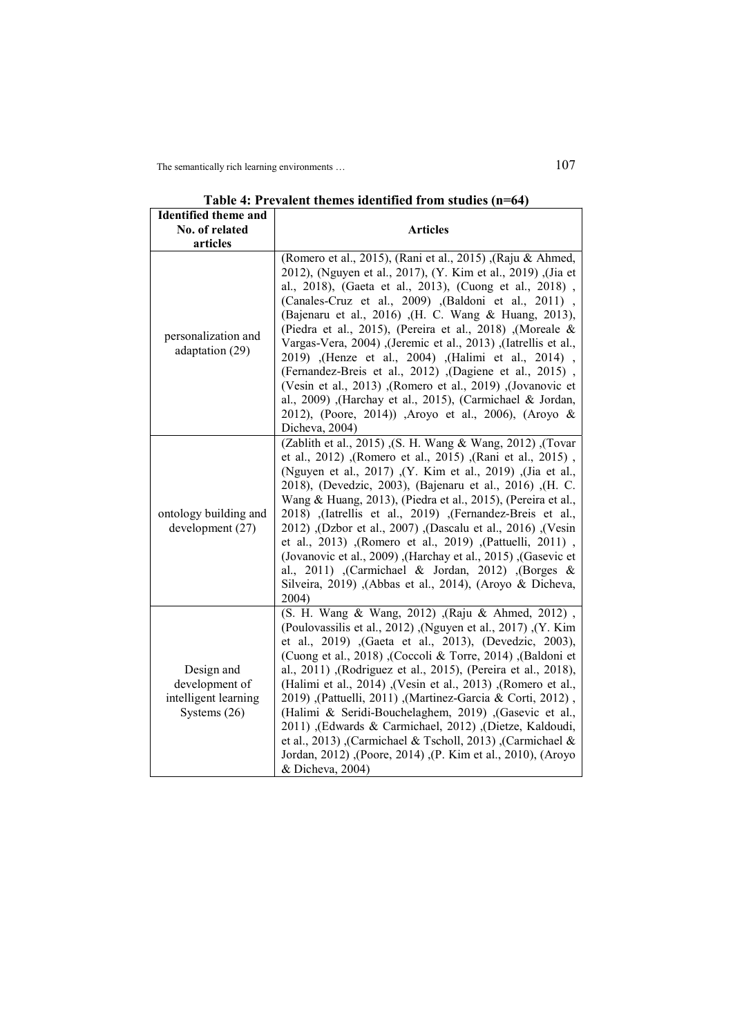| <b>Identified theme and</b>                                            |                                                                                                                                                                                                                                                                                                                                                                                                                                                                                                                                                                                                                                                                                                                                                                    |
|------------------------------------------------------------------------|--------------------------------------------------------------------------------------------------------------------------------------------------------------------------------------------------------------------------------------------------------------------------------------------------------------------------------------------------------------------------------------------------------------------------------------------------------------------------------------------------------------------------------------------------------------------------------------------------------------------------------------------------------------------------------------------------------------------------------------------------------------------|
| No. of related                                                         | <b>Articles</b>                                                                                                                                                                                                                                                                                                                                                                                                                                                                                                                                                                                                                                                                                                                                                    |
| articles                                                               |                                                                                                                                                                                                                                                                                                                                                                                                                                                                                                                                                                                                                                                                                                                                                                    |
| personalization and<br>adaptation (29)                                 | (Romero et al., 2015), (Rani et al., 2015), (Raju & Ahmed,<br>2012), (Nguyen et al., 2017), (Y. Kim et al., 2019), (Jia et<br>al., 2018), (Gaeta et al., 2013), (Cuong et al., 2018),<br>(Canales-Cruz et al., 2009) , (Baldoni et al., 2011),<br>(Bajenaru et al., 2016) ,(H. C. Wang & Huang, 2013),<br>(Piedra et al., 2015), (Pereira et al., 2018) , (Moreale &<br>Vargas-Vera, 2004) , (Jeremic et al., 2013) , (Iatrellis et al.,<br>2019) , (Henze et al., 2004) , (Halimi et al., 2014)<br>(Fernandez-Breis et al., 2012) , (Dagiene et al., 2015),<br>(Vesin et al., 2013) ,(Romero et al., 2019) ,(Jovanovic et<br>al., 2009) ,(Harchay et al., 2015), (Carmichael & Jordan,<br>2012), (Poore, 2014)) , Aroyo et al., 2006), (Aroyo &<br>Dicheva, 2004) |
| ontology building and<br>development (27)                              | (Zablith et al., 2015), (S. H. Wang & Wang, 2012), (Tovar<br>et al., 2012) ,(Romero et al., 2015) ,(Rani et al., 2015) ,<br>(Nguyen et al., 2017) (Y. Kim et al., 2019) (Jia et al.,<br>2018), (Devedzic, 2003), (Bajenaru et al., 2016) , (H. C.<br>Wang & Huang, 2013), (Piedra et al., 2015), (Pereira et al.,<br>2018) , (Iatrellis et al., 2019) , (Fernandez-Breis et al.,<br>2012), (Dascalu et al., 2016), (Dascalu et al., 2016), (Desin<br>et al., 2013) , (Romero et al., 2019) , (Pattuelli, 2011) ,<br>(Jovanovic et al., 2009), (Harchay et al., 2015), (Gasevic et<br>al., 2011) , (Carmichael & Jordan, 2012) , (Borges &<br>Silveira, 2019) ,(Abbas et al., 2014), (Aroyo & Dicheva,<br>2004)                                                     |
| Design and<br>development of<br>intelligent learning<br>Systems $(26)$ | (S. H. Wang & Wang, 2012) , (Raju & Ahmed, 2012),<br>(Poulovassilis et al., 2012), (Nguyen et al., 2017), (Y. Kim<br>et al., 2019) , (Gaeta et al., 2013), (Devedzic, 2003),<br>(Baldoni et al., 2018), (Coccoli & Torre, 2014), (Baldoni et<br>al., 2011) , (Rodriguez et al., 2015), (Pereira et al., 2018),<br>(Halimi et al., 2014) , (Vesin et al., 2013) , (Romero et al.,<br>2019), (Pattuelli, 2011), (Martinez-Garcia & Corti, 2012)<br>(Halimi & Seridi-Bouchelaghem, 2019) , (Gasevic et al.,<br>2011) , (Edwards & Carmichael, 2012) , (Dietze, Kaldoudi,<br>et al., 2013), (Carmichael & Tscholl, 2013), (Carmichael &<br>Jordan, 2012) , (Poore, 2014) , (P. Kim et al., 2010), (Aroyo<br>& Dicheva, 2004)                                           |

Table 4: Prevalent themes identified from studies (n=64)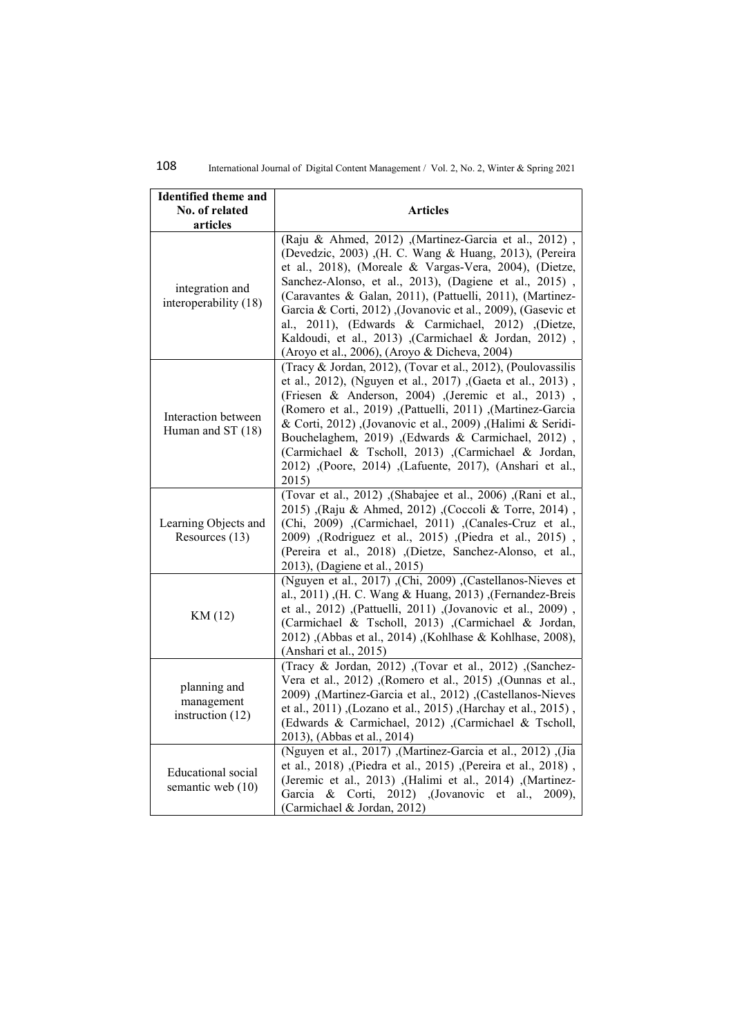| <b>Identified theme and</b><br>No. of related<br>articles | <b>Articles</b>                                                                                                                                                                                                                                                                                                                                                                                                                                                                                                                   |
|-----------------------------------------------------------|-----------------------------------------------------------------------------------------------------------------------------------------------------------------------------------------------------------------------------------------------------------------------------------------------------------------------------------------------------------------------------------------------------------------------------------------------------------------------------------------------------------------------------------|
| integration and<br>interoperability (18)                  | (Raju & Ahmed, 2012) ,(Martinez-Garcia et al., 2012),<br>(Devedzic, 2003) ,(H. C. Wang & Huang, 2013), (Pereira<br>et al., 2018), (Moreale & Vargas-Vera, 2004), (Dietze,<br>Sanchez-Alonso, et al., 2013), (Dagiene et al., 2015),<br>(Caravantes & Galan, 2011), (Pattuelli, 2011), (Martinez-<br>Garcia & Corti, 2012) ,(Jovanovic et al., 2009), (Gasevic et<br>al., 2011), (Edwards & Carmichael, 2012) , (Dietze,<br>Kaldoudi, et al., 2013) ,(Carmichael & Jordan, 2012),<br>(Aroyo et al., 2006), (Aroyo & Dicheva, 2004) |
| Interaction between<br>Human and ST (18)                  | (Tracy & Jordan, 2012), (Tovar et al., 2012), (Poulovassilis<br>et al., 2012), (Nguyen et al., 2017) , (Gaeta et al., 2013),<br>(Friesen & Anderson, 2004) (Jeremic et al., 2013),<br>(Romero et al., 2019), (Pattuelli, 2011), (Martinez-Garcia<br>& Corti, 2012) ,(Jovanovic et al., 2009) ,(Halimi & Seridi-<br>Bouchelaghem, 2019) , (Edwards & Carmichael, 2012),<br>(Carmichael & Tscholl, 2013) ,(Carmichael & Jordan,<br>2012) ,(Poore, 2014) ,(Lafuente, 2017), (Anshari et al.,<br>2015)                                |
| Learning Objects and<br>Resources (13)                    | (Tovar et al., 2012) , (Shabajee et al., 2006) , (Rani et al.,<br>2015), (Raju & Ahmed, 2012), (Coccoli & Torre, 2014),<br>(Chi, 2009) , (Carmichael, 2011) , (Canales-Cruz et al.,<br>2009) , (Rodriguez et al., 2015) , (Piedra et al., 2015) ,<br>(Pereira et al., 2018) , (Dietze, Sanchez-Alonso, et al.,<br>2013), (Dagiene et al., 2015)                                                                                                                                                                                   |
| KM (12)                                                   | (Nguyen et al., 2017) (Chi, 2009) (Castellanos-Nieves et<br>al., 2011), (H. C. Wang & Huang, 2013), (Fernandez-Breis<br>et al., 2012) ,(Pattuelli, 2011) ,(Jovanovic et al., 2009) ,<br>(Carmichael & Tscholl, 2013) , (Carmichael & Jordan,<br>2012) , (Abbas et al., 2014) , (Kohlhase & Kohlhase, 2008),<br>(Anshari et al., 2015)                                                                                                                                                                                             |
| planning and<br>management<br>instruction $(12)$          | (Tracy & Jordan, 2012) ,(Tovar et al., 2012) ,(Sanchez-<br>Vera et al., 2012) ,(Romero et al., 2015) ,(Ounnas et al.,<br>2009), (Martinez-Garcia et al., 2012), (Castellanos-Nieves<br>et al., 2011), (Lozano et al., 2015), (Harchay et al., 2015),<br>(Edwards & Carmichael, 2012) , (Carmichael & Tscholl,<br>2013), (Abbas et al., 2014)                                                                                                                                                                                      |
| <b>Educational</b> social<br>semantic web (10)            | (Via (Nguyen et al., 2017), (Martinez-Garcia et al., 2012), (Jia<br>et al., 2018), (Piedra et al., 2015), (Pereira et al., 2018),<br>(Jeremic et al., 2013) , (Halimi et al., 2014) , (Martinez-<br>Garcia<br>& Corti, 2012) , (Jovanovic et<br>al.,<br>$2009$ ).<br>(Carmichael & Jordan, 2012)                                                                                                                                                                                                                                  |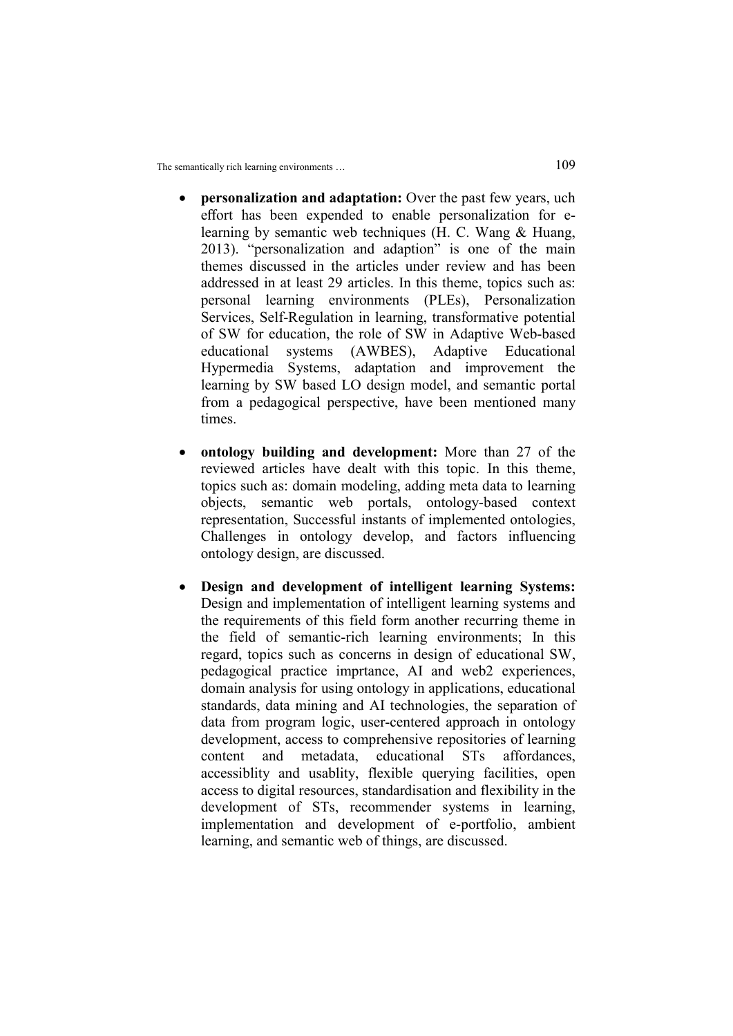- personalization and adaptation: Over the past few years, uch effort has been expended to enable personalization for elearning by semantic web techniques (H. C. Wang & Huang, 2013). "personalization and adaption" is one of the main themes discussed in the articles under review and has been addressed in at least 29 articles. In this theme, topics such as: personal learning environments (PLEs), Personalization Services, Self-Regulation in learning, transformative potential of SW for education, the role of SW in Adaptive Web-based educational systems (AWBES), Adaptive Educational Hypermedia Systems, adaptation and improvement the learning by SW based LO design model, and semantic portal from a pedagogical perspective, have been mentioned many times.
- ontology building and development: More than 27 of the reviewed articles have dealt with this topic. In this theme, topics such as: domain modeling, adding meta data to learning objects, semantic web portals, ontology-based context representation, Successful instants of implemented ontologies, Challenges in ontology develop, and factors influencing ontology design, are discussed.
- Design and development of intelligent learning Systems: Design and implementation of intelligent learning systems and the requirements of this field form another recurring theme in the field of semantic-rich learning environments; In this regard, topics such as concerns in design of educational SW, pedagogical practice imprtance, AI and web2 experiences, domain analysis for using ontology in applications, educational standards, data mining and AI technologies, the separation of data from program logic, user-centered approach in ontology development, access to comprehensive repositories of learning content and metadata, educational STs affordances, accessiblity and usablity, flexible querying facilities, open access to digital resources, standardisation and flexibility in the development of STs, recommender systems in learning, implementation and development of e-portfolio, ambient learning, and semantic web of things, are discussed.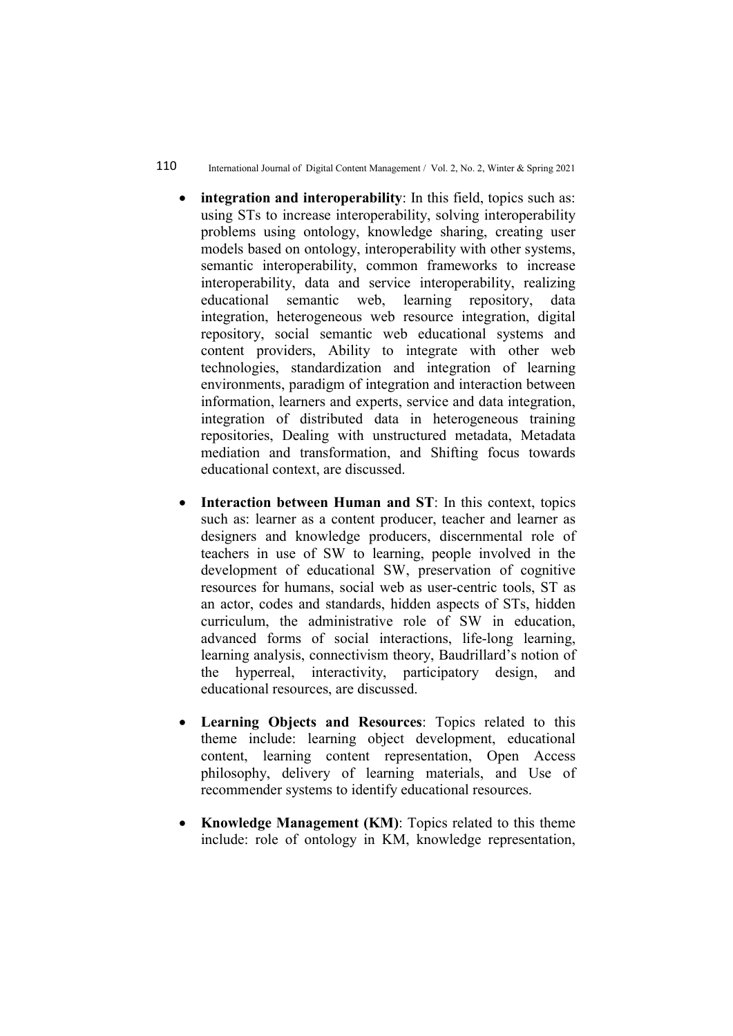#### 110 International Journal of Digital Content Management / Vol. 2, No. 2, Winter & Spring 2021

- integration and interoperability: In this field, topics such as: using STs to increase interoperability, solving interoperability problems using ontology, knowledge sharing, creating user models based on ontology, interoperability with other systems, semantic interoperability, common frameworks to increase interoperability, data and service interoperability, realizing educational semantic web, learning repository, data integration, heterogeneous web resource integration, digital repository, social semantic web educational systems and content providers, Ability to integrate with other web technologies, standardization and integration of learning environments, paradigm of integration and interaction between information, learners and experts, service and data integration, integration of distributed data in heterogeneous training repositories, Dealing with unstructured metadata, Metadata mediation and transformation, and Shifting focus towards educational context, are discussed.
- Interaction between Human and ST: In this context, topics such as: learner as a content producer, teacher and learner as designers and knowledge producers, discernmental role of teachers in use of SW to learning, people involved in the development of educational SW, preservation of cognitive resources for humans, social web as user-centric tools, ST as an actor, codes and standards, hidden aspects of STs, hidden curriculum, the administrative role of SW in education, advanced forms of social interactions, life-long learning, learning analysis, connectivism theory, Baudrillard's notion of the hyperreal, interactivity, participatory design, and educational resources, are discussed.
- Learning Objects and Resources: Topics related to this theme include: learning object development, educational content, learning content representation, Open Access philosophy, delivery of learning materials, and Use of recommender systems to identify educational resources.
- Knowledge Management (KM): Topics related to this theme include: role of ontology in KM, knowledge representation,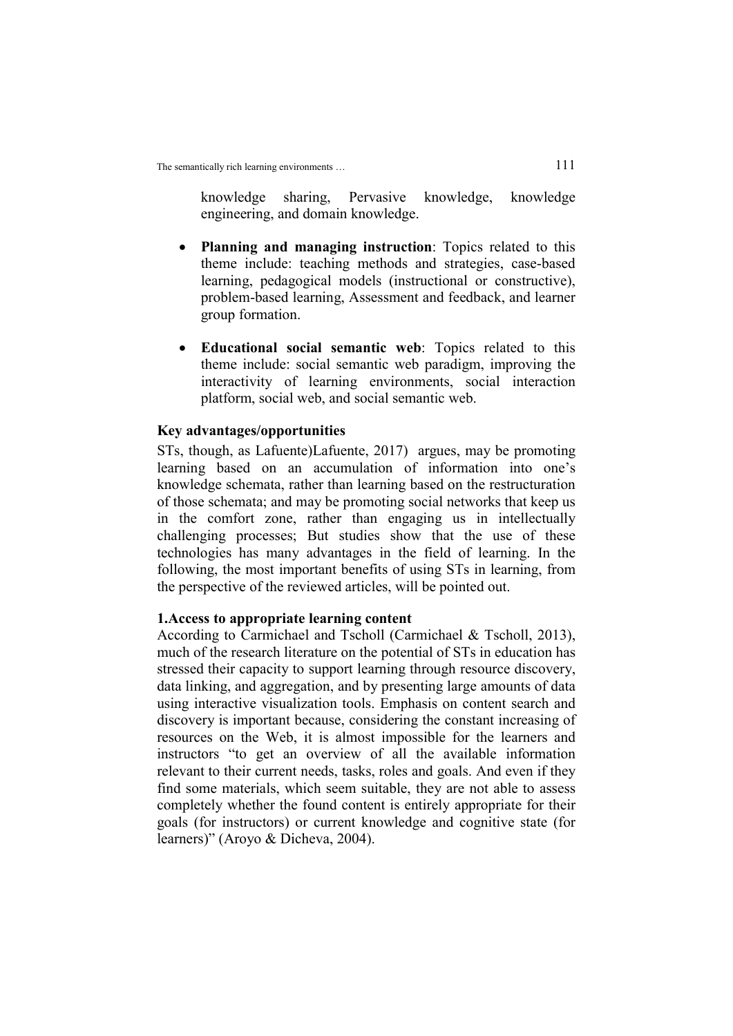knowledge sharing, Pervasive knowledge, knowledge engineering, and domain knowledge.

- Planning and managing instruction: Topics related to this theme include: teaching methods and strategies, case-based learning, pedagogical models (instructional or constructive), problem-based learning, Assessment and feedback, and learner group formation.
- Educational social semantic web: Topics related to this theme include: social semantic web paradigm, improving the interactivity of learning environments, social interaction platform, social web, and social semantic web.

## Key advantages/opportunities

STs, though, as Lafuente)Lafuente, 2017) argues, may be promoting learning based on an accumulation of information into one's knowledge schemata, rather than learning based on the restructuration of those schemata; and may be promoting social networks that keep us in the comfort zone, rather than engaging us in intellectually challenging processes; But studies show that the use of these technologies has many advantages in the field of learning. In the following, the most important benefits of using STs in learning, from the perspective of the reviewed articles, will be pointed out.

#### 1.Access to appropriate learning content

According to Carmichael and Tscholl (Carmichael & Tscholl, 2013), much of the research literature on the potential of STs in education has stressed their capacity to support learning through resource discovery, data linking, and aggregation, and by presenting large amounts of data using interactive visualization tools. Emphasis on content search and discovery is important because, considering the constant increasing of resources on the Web, it is almost impossible for the learners and instructors "to get an overview of all the available information relevant to their current needs, tasks, roles and goals. And even if they find some materials, which seem suitable, they are not able to assess completely whether the found content is entirely appropriate for their goals (for instructors) or current knowledge and cognitive state (for learners)" (Aroyo & Dicheva, 2004).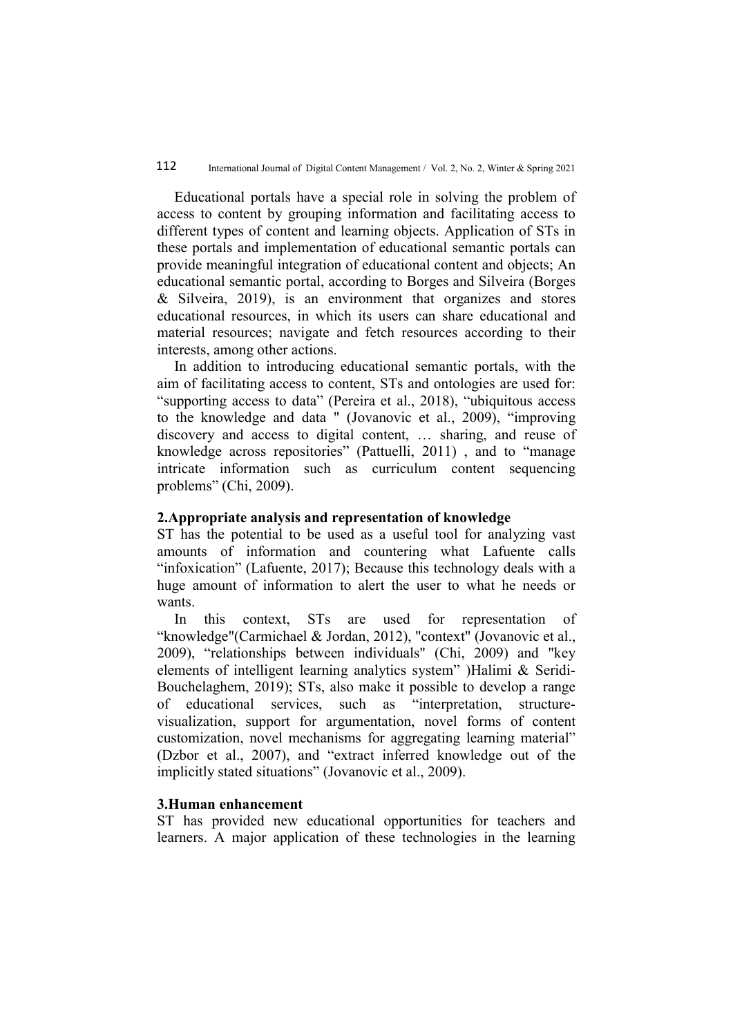Educational portals have a special role in solving the problem of access to content by grouping information and facilitating access to different types of content and learning objects. Application of STs in these portals and implementation of educational semantic portals can provide meaningful integration of educational content and objects; An educational semantic portal, according to Borges and Silveira (Borges & Silveira, 2019), is an environment that organizes and stores educational resources, in which its users can share educational and material resources; navigate and fetch resources according to their interests, among other actions.

In addition to introducing educational semantic portals, with the aim of facilitating access to content, STs and ontologies are used for: "supporting access to data" (Pereira et al., 2018), "ubiquitous access to the knowledge and data " (Jovanovic et al., 2009), "improving discovery and access to digital content, … sharing, and reuse of knowledge across repositories" (Pattuelli, 2011) , and to "manage intricate information such as curriculum content sequencing problems" (Chi, 2009).

#### 2.Appropriate analysis and representation of knowledge

ST has the potential to be used as a useful tool for analyzing vast amounts of information and countering what Lafuente calls "infoxication" (Lafuente, 2017); Because this technology deals with a huge amount of information to alert the user to what he needs or wants.

In this context, STs are used for representation of "knowledge"(Carmichael & Jordan, 2012), "context" (Jovanovic et al., 2009), "relationships between individuals" (Chi, 2009) and "key elements of intelligent learning analytics system" )Halimi & Seridi-Bouchelaghem, 2019); STs, also make it possible to develop a range of educational services, such as "interpretation, structurevisualization, support for argumentation, novel forms of content customization, novel mechanisms for aggregating learning material" (Dzbor et al., 2007), and "extract inferred knowledge out of the implicitly stated situations" (Jovanovic et al., 2009).

### 3.Human enhancement

ST has provided new educational opportunities for teachers and learners. A major application of these technologies in the learning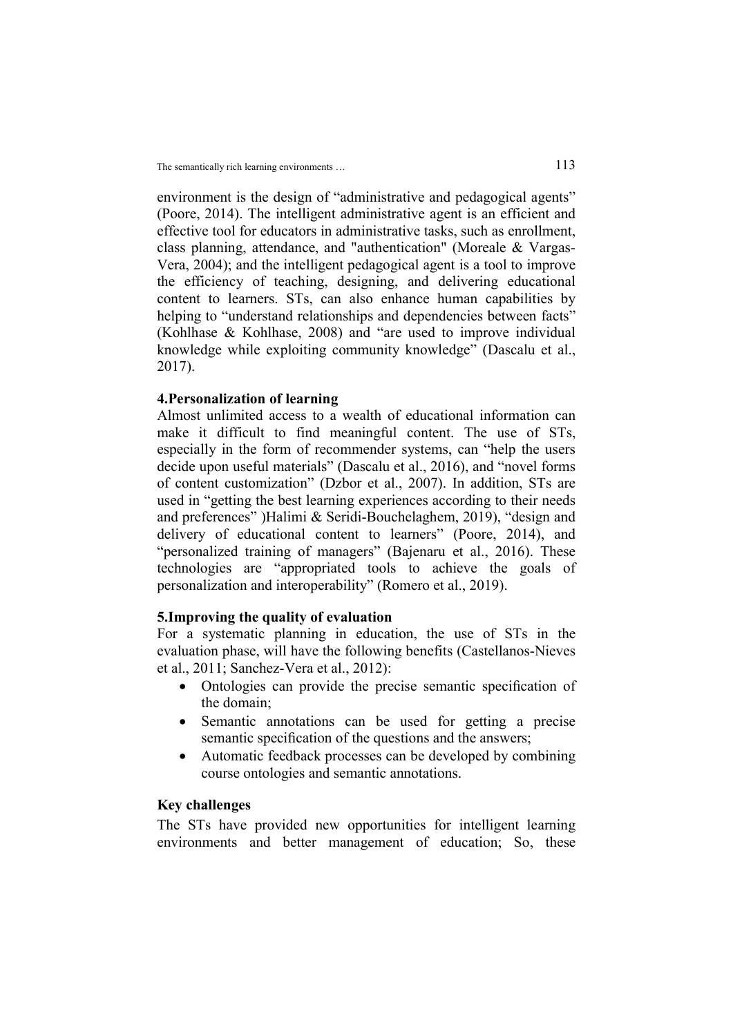environment is the design of "administrative and pedagogical agents" (Poore, 2014). The intelligent administrative agent is an efficient and effective tool for educators in administrative tasks, such as enrollment, class planning, attendance, and "authentication" (Moreale & Vargas-Vera, 2004); and the intelligent pedagogical agent is a tool to improve the efficiency of teaching, designing, and delivering educational content to learners. STs, can also enhance human capabilities by helping to "understand relationships and dependencies between facts" (Kohlhase & Kohlhase, 2008) and "are used to improve individual knowledge while exploiting community knowledge" (Dascalu et al., 2017).

## 4.Personalization of learning

Almost unlimited access to a wealth of educational information can make it difficult to find meaningful content. The use of STs, especially in the form of recommender systems, can "help the users decide upon useful materials" (Dascalu et al., 2016), and "novel forms of content customization" (Dzbor et al., 2007). In addition, STs are used in "getting the best learning experiences according to their needs and preferences" )Halimi & Seridi-Bouchelaghem, 2019), "design and delivery of educational content to learners" (Poore, 2014), and "personalized training of managers" (Bajenaru et al., 2016). These technologies are "appropriated tools to achieve the goals of personalization and interoperability" (Romero et al., 2019).

#### 5.Improving the quality of evaluation

For a systematic planning in education, the use of STs in the evaluation phase, will have the following benefits (Castellanos-Nieves et al., 2011; Sanchez-Vera et al., 2012):

- Ontologies can provide the precise semantic specification of the domain;
- Semantic annotations can be used for getting a precise semantic specification of the questions and the answers;
- Automatic feedback processes can be developed by combining course ontologies and semantic annotations.

## Key challenges

The STs have provided new opportunities for intelligent learning environments and better management of education; So, these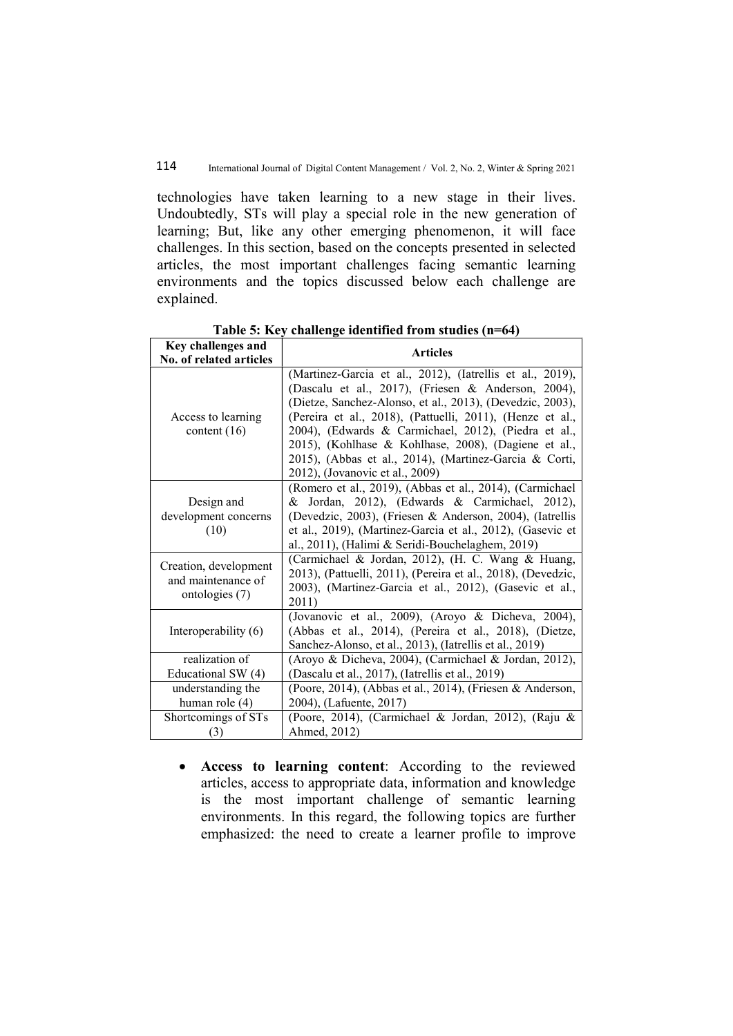technologies have taken learning to a new stage in their lives. Undoubtedly, STs will play a special role in the new generation of learning; But, like any other emerging phenomenon, it will face challenges. In this section, based on the concepts presented in selected articles, the most important challenges facing semantic learning environments and the topics discussed below each challenge are explained.

| Key challenges and<br>No. of related articles                 | <b>Articles</b>                                                                                                                                                                                                                                                                                                                                                                                                                                         |
|---------------------------------------------------------------|---------------------------------------------------------------------------------------------------------------------------------------------------------------------------------------------------------------------------------------------------------------------------------------------------------------------------------------------------------------------------------------------------------------------------------------------------------|
| Access to learning<br>content $(16)$                          | (Martinez-Garcia et al., 2012), (Iatrellis et al., 2019),<br>(Dascalu et al., 2017), (Friesen & Anderson, 2004),<br>(Dietze, Sanchez-Alonso, et al., 2013), (Devedzic, 2003),<br>(Pereira et al., 2018), (Pattuelli, 2011), (Henze et al.,<br>2004), (Edwards & Carmichael, 2012), (Piedra et al.,<br>2015), (Kohlhase & Kohlhase, 2008), (Dagiene et al.,<br>2015), (Abbas et al., 2014), (Martinez-Garcia & Corti,<br>2012), (Jovanovic et al., 2009) |
| Design and<br>development concerns<br>(10)                    | (Romero et al., 2019), (Abbas et al., 2014), (Carmichael<br>& Jordan, 2012), (Edwards & Carmichael, 2012),<br>(Devedzic, 2003), (Friesen & Anderson, 2004), (Iatrellis<br>et al., 2019), (Martinez-Garcia et al., 2012), (Gasevic et<br>al., 2011), (Halimi & Seridi-Bouchelaghem, 2019)                                                                                                                                                                |
| Creation, development<br>and maintenance of<br>ontologies (7) | (Carmichael & Jordan, 2012), (H. C. Wang & Huang,<br>2013), (Pattuelli, 2011), (Pereira et al., 2018), (Devedzic,<br>2003), (Martinez-Garcia et al., 2012), (Gasevic et al.,<br>2011)                                                                                                                                                                                                                                                                   |
| Interoperability (6)                                          | (Jovanovic et al., 2009), (Aroyo & Dicheva, 2004),<br>(Abbas et al., 2014), (Pereira et al., 2018), (Dietze,<br>Sanchez-Alonso, et al., 2013), (Iatrellis et al., 2019)                                                                                                                                                                                                                                                                                 |
| realization of<br>Educational SW (4)                          | (Aroyo & Dicheva, 2004), (Carmichael & Jordan, 2012),<br>(Dascalu et al., 2017), (Iatrellis et al., 2019)                                                                                                                                                                                                                                                                                                                                               |
| understanding the<br>human role $(4)$                         | (Poore, 2014), (Abbas et al., 2014), (Friesen & Anderson,<br>2004), (Lafuente, 2017)                                                                                                                                                                                                                                                                                                                                                                    |
| Shortcomings of STs<br>(3)                                    | (Poore, 2014), (Carmichael & Jordan, 2012), (Raju &<br>Ahmed, 2012)                                                                                                                                                                                                                                                                                                                                                                                     |

Table 5: Key challenge identified from studies (n=64)

 Access to learning content: According to the reviewed articles, access to appropriate data, information and knowledge is the most important challenge of semantic learning environments. In this regard, the following topics are further emphasized: the need to create a learner profile to improve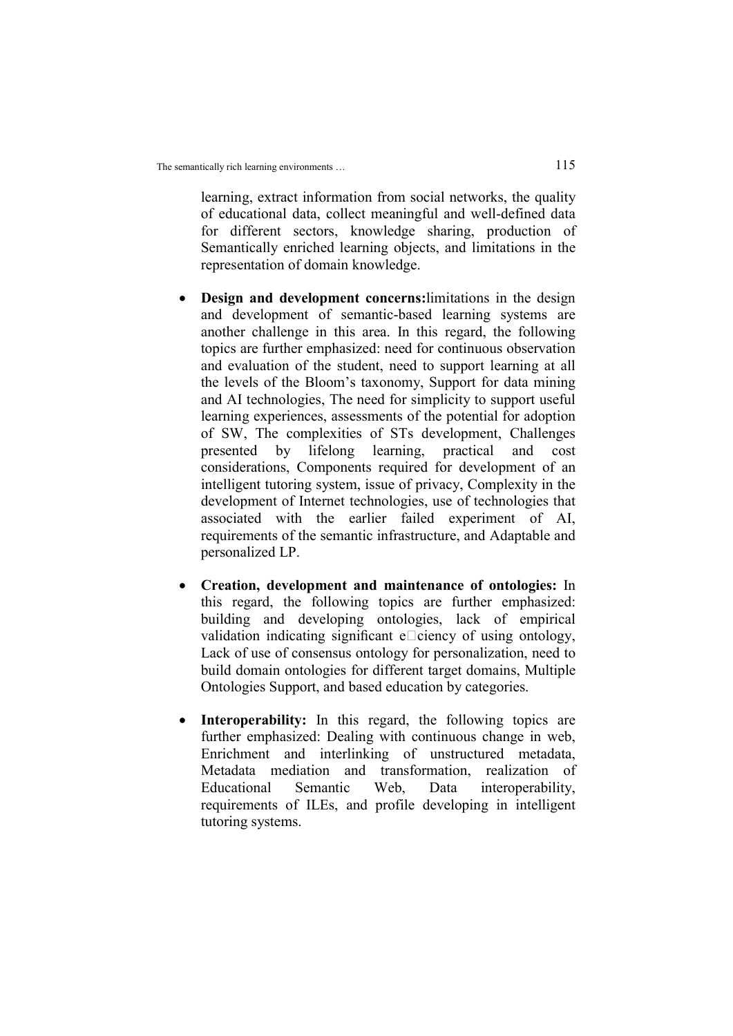learning, extract information from social networks, the quality of educational data, collect meaningful and well-defined data for different sectors, knowledge sharing, production of Semantically enriched learning objects, and limitations in the representation of domain knowledge.

- Design and development concerns:limitations in the design and development of semantic-based learning systems are another challenge in this area. In this regard, the following topics are further emphasized: need for continuous observation and evaluation of the student, need to support learning at all the levels of the Bloom's taxonomy, Support for data mining and AI technologies, The need for simplicity to support useful learning experiences, assessments of the potential for adoption of SW, The complexities of STs development, Challenges presented by lifelong learning, practical and cost considerations, Components required for development of an intelligent tutoring system, issue of privacy, Complexity in the development of Internet technologies, use of technologies that associated with the earlier failed experiment of AI, requirements of the semantic infrastructure, and Adaptable and personalized LP.
- Creation, development and maintenance of ontologies: In this regard, the following topics are further emphasized: building and developing ontologies, lack of empirical validation indicating significant  $e$  $\Box$ ciency of using ontology, Lack of use of consensus ontology for personalization, need to build domain ontologies for different target domains, Multiple Ontologies Support, and based education by categories.
- Interoperability: In this regard, the following topics are further emphasized: Dealing with continuous change in web, Enrichment and interlinking of unstructured metadata, Metadata mediation and transformation, realization of Educational Semantic Web, Data interoperability, requirements of ILEs, and profile developing in intelligent tutoring systems.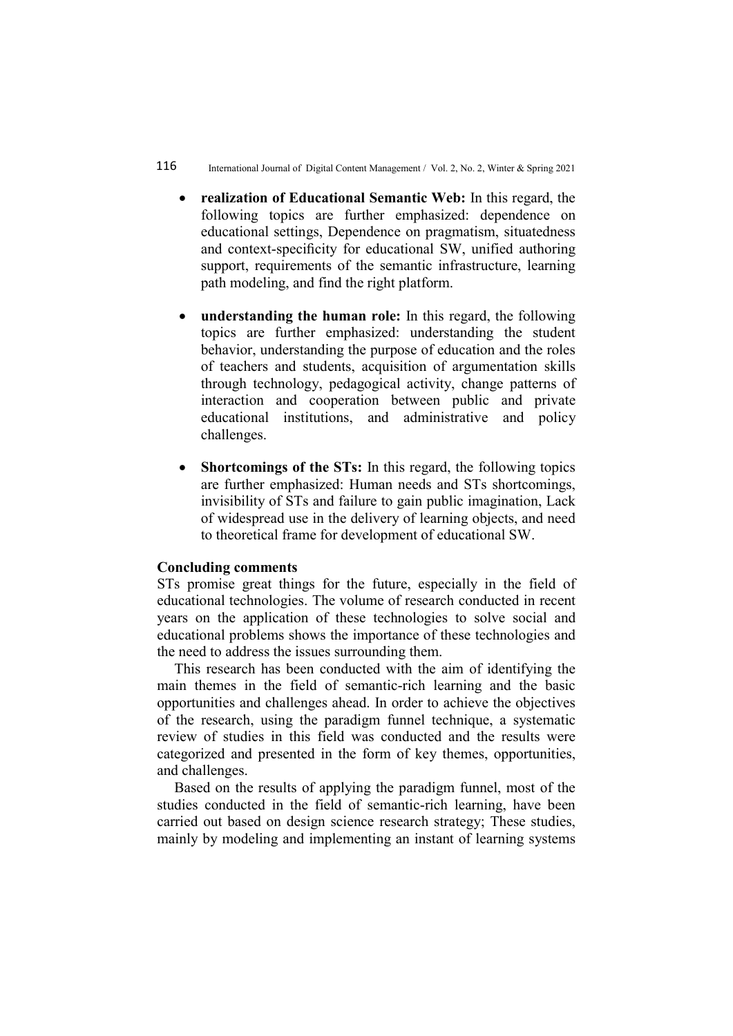- realization of Educational Semantic Web: In this regard, the following topics are further emphasized: dependence on educational settings, Dependence on pragmatism, situatedness and context-specificity for educational SW, unified authoring support, requirements of the semantic infrastructure, learning path modeling, and find the right platform.
- understanding the human role: In this regard, the following topics are further emphasized: understanding the student behavior, understanding the purpose of education and the roles of teachers and students, acquisition of argumentation skills through technology, pedagogical activity, change patterns of interaction and cooperation between public and private educational institutions, and administrative and policy challenges.
- Shortcomings of the STs: In this regard, the following topics are further emphasized: Human needs and STs shortcomings, invisibility of STs and failure to gain public imagination, Lack of widespread use in the delivery of learning objects, and need to theoretical frame for development of educational SW.

#### Concluding comments

STs promise great things for the future, especially in the field of educational technologies. The volume of research conducted in recent years on the application of these technologies to solve social and educational problems shows the importance of these technologies and the need to address the issues surrounding them.

This research has been conducted with the aim of identifying the main themes in the field of semantic-rich learning and the basic opportunities and challenges ahead. In order to achieve the objectives of the research, using the paradigm funnel technique, a systematic review of studies in this field was conducted and the results were categorized and presented in the form of key themes, opportunities, and challenges.

Based on the results of applying the paradigm funnel, most of the studies conducted in the field of semantic-rich learning, have been carried out based on design science research strategy; These studies, mainly by modeling and implementing an instant of learning systems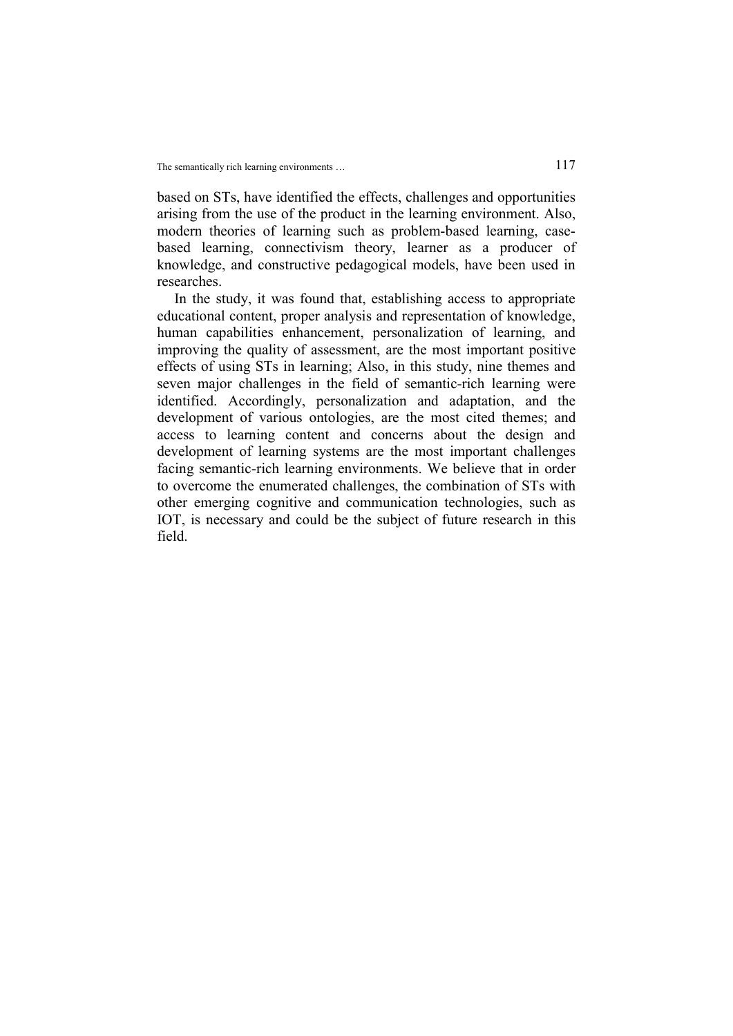based on STs, have identified the effects, challenges and opportunities arising from the use of the product in the learning environment. Also, modern theories of learning such as problem-based learning, casebased learning, connectivism theory, learner as a producer of knowledge, and constructive pedagogical models, have been used in researches.

In the study, it was found that, establishing access to appropriate educational content, proper analysis and representation of knowledge, human capabilities enhancement, personalization of learning, and improving the quality of assessment, are the most important positive effects of using STs in learning; Also, in this study, nine themes and seven major challenges in the field of semantic-rich learning were identified. Accordingly, personalization and adaptation, and the development of various ontologies, are the most cited themes; and access to learning content and concerns about the design and development of learning systems are the most important challenges facing semantic-rich learning environments. We believe that in order to overcome the enumerated challenges, the combination of STs with other emerging cognitive and communication technologies, such as IOT, is necessary and could be the subject of future research in this field.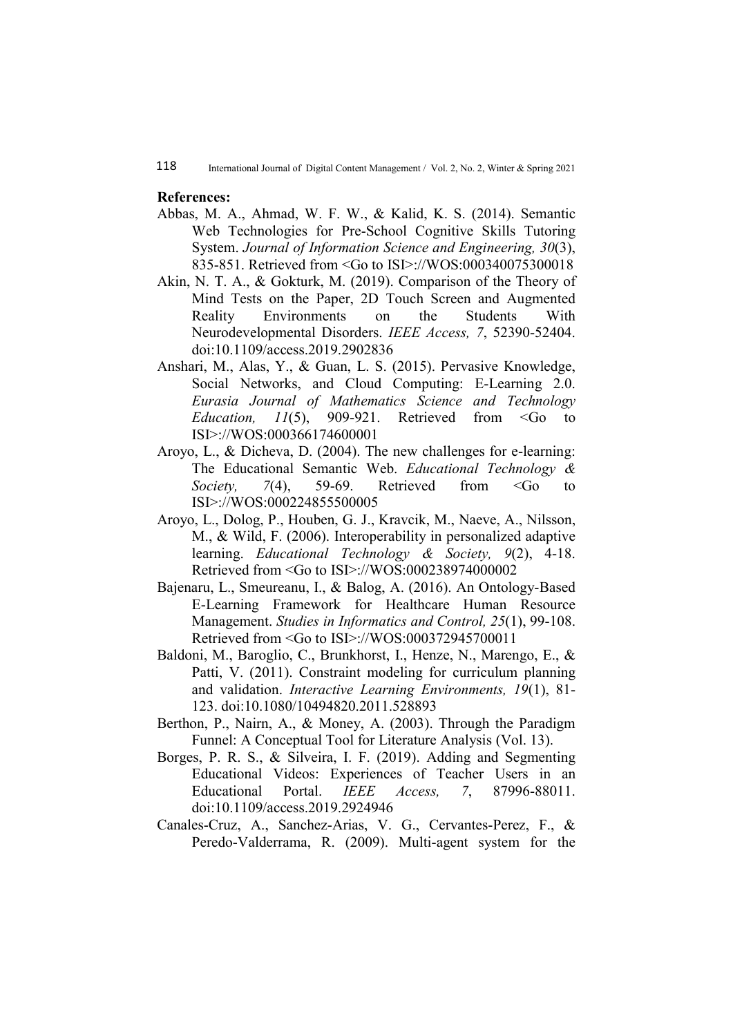#### References:

- Abbas, M. A., Ahmad, W. F. W., & Kalid, K. S. (2014). Semantic Web Technologies for Pre-School Cognitive Skills Tutoring System. Journal of Information Science and Engineering, 30(3), 835-851. Retrieved from <Go to ISI>://WOS:000340075300018
- Akin, N. T. A., & Gokturk, M. (2019). Comparison of the Theory of Mind Tests on the Paper, 2D Touch Screen and Augmented Reality Environments on the Students With Neurodevelopmental Disorders. IEEE Access, 7, 52390-52404. doi:10.1109/access.2019.2902836
- Anshari, M., Alas, Y., & Guan, L. S. (2015). Pervasive Knowledge, Social Networks, and Cloud Computing: E-Learning 2.0. Eurasia Journal of Mathematics Science and Technology *Education, 11(5), 909-921.* Retrieved from  $\leq$  60 to ISI>://WOS:000366174600001
- Aroyo, L., & Dicheva, D. (2004). The new challenges for e-learning: The Educational Semantic Web. Educational Technology & Society, 7(4), 59-69. Retrieved from  $\leq$  to to ISI>://WOS:000224855500005
- Aroyo, L., Dolog, P., Houben, G. J., Kravcik, M., Naeve, A., Nilsson, M., & Wild, F. (2006). Interoperability in personalized adaptive learning. *Educational Technology & Society*, 9(2), 4-18. Retrieved from <Go to ISI>://WOS:000238974000002
- Bajenaru, L., Smeureanu, I., & Balog, A. (2016). An Ontology-Based E-Learning Framework for Healthcare Human Resource Management. Studies in Informatics and Control, 25(1), 99-108. Retrieved from <Go to ISI>://WOS:000372945700011
- Baldoni, M., Baroglio, C., Brunkhorst, I., Henze, N., Marengo, E., & Patti, V. (2011). Constraint modeling for curriculum planning and validation. Interactive Learning Environments, 19(1), 81- 123. doi:10.1080/10494820.2011.528893
- Berthon, P., Nairn, A., & Money, A. (2003). Through the Paradigm Funnel: A Conceptual Tool for Literature Analysis (Vol. 13).
- Borges, P. R. S., & Silveira, I. F. (2019). Adding and Segmenting Educational Videos: Experiences of Teacher Users in an Educational Portal. *IEEE Access*, 7, 87996-88011. doi:10.1109/access.2019.2924946
- Canales-Cruz, A., Sanchez-Arias, V. G., Cervantes-Perez, F., & Peredo-Valderrama, R. (2009). Multi-agent system for the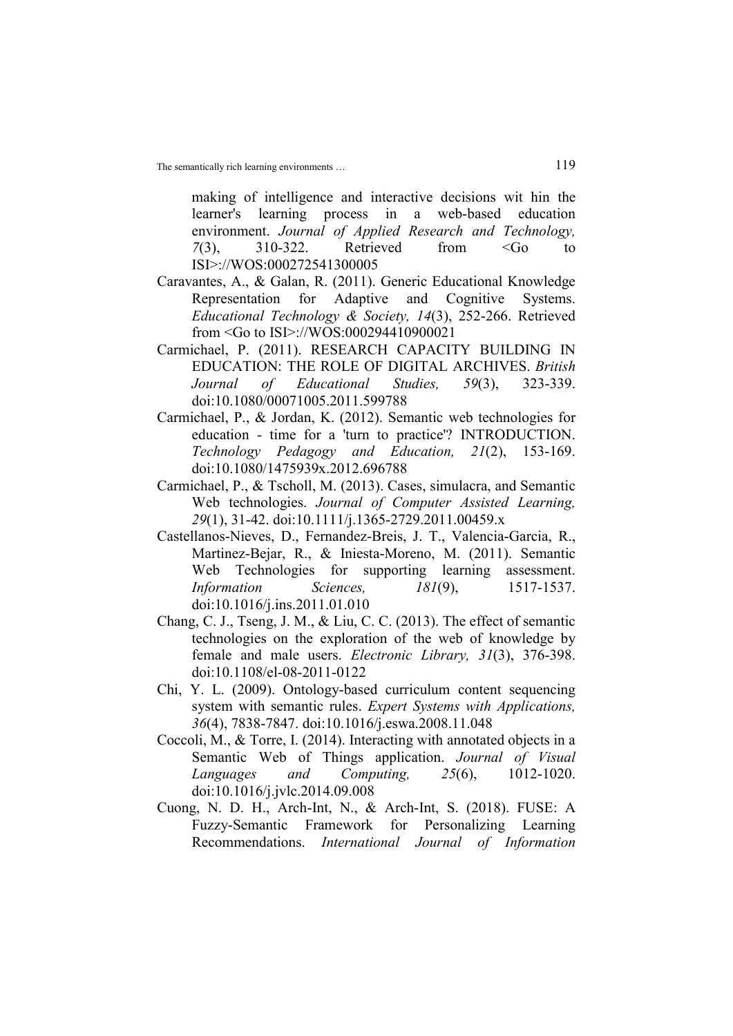making of intelligence and interactive decisions wit hin the learner's learning process in a web-based education environment. Journal of Applied Research and Technology,  $7(3)$ ,  $310-322$ . Retrieved from  $\leq G$  to ISI>://WOS:000272541300005

- Caravantes, A., & Galan, R. (2011). Generic Educational Knowledge Representation for Adaptive and Cognitive Systems. Educational Technology & Society, 14(3), 252-266. Retrieved from <Go to ISI>://WOS:000294410900021
- Carmichael, P. (2011). RESEARCH CAPACITY BUILDING IN EDUCATION: THE ROLE OF DIGITAL ARCHIVES. British Journal of Educational Studies, 59(3), 323-339. doi:10.1080/00071005.2011.599788
- Carmichael, P., & Jordan, K. (2012). Semantic web technologies for education - time for a 'turn to practice'? INTRODUCTION. Technology Pedagogy and Education, 21(2), 153-169. doi:10.1080/1475939x.2012.696788
- Carmichael, P., & Tscholl, M. (2013). Cases, simulacra, and Semantic Web technologies. Journal of Computer Assisted Learning, 29(1), 31-42. doi:10.1111/j.1365-2729.2011.00459.x
- Castellanos-Nieves, D., Fernandez-Breis, J. T., Valencia-Garcia, R., Martinez-Bejar, R., & Iniesta-Moreno, M. (2011). Semantic Web Technologies for supporting learning assessment. *Information Sciences*, 181(9), 1517-1537. doi:10.1016/j.ins.2011.01.010
- Chang, C. J., Tseng, J. M., & Liu, C. C. (2013). The effect of semantic technologies on the exploration of the web of knowledge by female and male users. Electronic Library, 31(3), 376-398. doi:10.1108/el-08-2011-0122
- Chi, Y. L. (2009). Ontology-based curriculum content sequencing system with semantic rules. Expert Systems with Applications, 36(4), 7838-7847. doi:10.1016/j.eswa.2008.11.048
- Coccoli, M., & Torre, I. (2014). Interacting with annotated objects in a Semantic Web of Things application. Journal of Visual Languages and Computing, 25(6), 1012-1020. doi:10.1016/j.jvlc.2014.09.008
- Cuong, N. D. H., Arch-Int, N., & Arch-Int, S. (2018). FUSE: A Fuzzy-Semantic Framework for Personalizing Learning Recommendations. International Journal of Information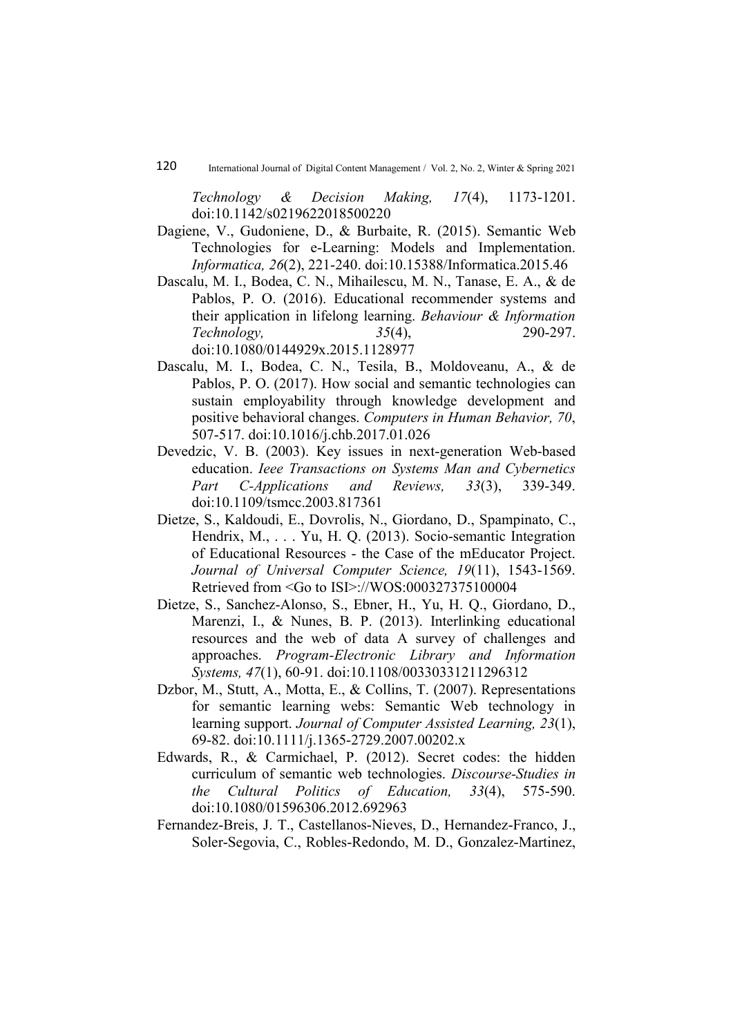Technology & Decision Making, 17(4), 1173-1201. doi:10.1142/s0219622018500220

- Dagiene, V., Gudoniene, D., & Burbaite, R. (2015). Semantic Web Technologies for e-Learning: Models and Implementation. Informatica, 26(2), 221-240. doi:10.15388/Informatica.2015.46
- Dascalu, M. I., Bodea, C. N., Mihailescu, M. N., Tanase, E. A., & de Pablos, P. O. (2016). Educational recommender systems and their application in lifelong learning. Behaviour & Information Technology, 35(4), 290-297. doi:10.1080/0144929x.2015.1128977
- Dascalu, M. I., Bodea, C. N., Tesila, B., Moldoveanu, A., & de Pablos, P. O. (2017). How social and semantic technologies can sustain employability through knowledge development and positive behavioral changes. Computers in Human Behavior, 70, 507-517. doi:10.1016/j.chb.2017.01.026
- Devedzic, V. B. (2003). Key issues in next-generation Web-based education. Ieee Transactions on Systems Man and Cybernetics Part C-Applications and Reviews, 33(3), 339-349. doi:10.1109/tsmcc.2003.817361
- Dietze, S., Kaldoudi, E., Dovrolis, N., Giordano, D., Spampinato, C., Hendrix, M., . . . Yu, H. Q. (2013). Socio-semantic Integration of Educational Resources - the Case of the mEducator Project. Journal of Universal Computer Science, 19(11), 1543-1569. Retrieved from <Go to ISI>://WOS:000327375100004
- Dietze, S., Sanchez-Alonso, S., Ebner, H., Yu, H. Q., Giordano, D., Marenzi, I., & Nunes, B. P. (2013). Interlinking educational resources and the web of data A survey of challenges and approaches. Program-Electronic Library and Information Systems, 47(1), 60-91. doi:10.1108/00330331211296312
- Dzbor, M., Stutt, A., Motta, E., & Collins, T. (2007). Representations for semantic learning webs: Semantic Web technology in learning support. Journal of Computer Assisted Learning, 23(1), 69-82. doi:10.1111/j.1365-2729.2007.00202.x
- Edwards, R., & Carmichael, P. (2012). Secret codes: the hidden curriculum of semantic web technologies. Discourse-Studies in the Cultural Politics of Education, 33(4), 575-590. doi:10.1080/01596306.2012.692963
- Fernandez-Breis, J. T., Castellanos-Nieves, D., Hernandez-Franco, J., Soler-Segovia, C., Robles-Redondo, M. D., Gonzalez-Martinez,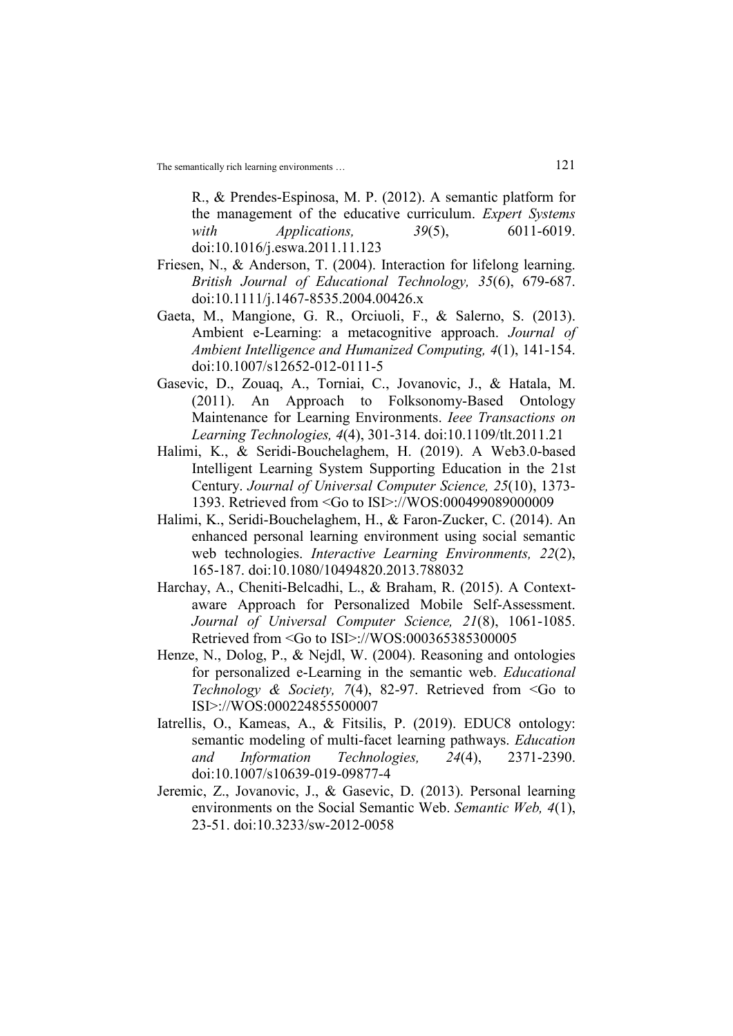R., & Prendes-Espinosa, M. P. (2012). A semantic platform for the management of the educative curriculum. Expert Systems with *Applications*, 39(5), 6011-6019. doi:10.1016/j.eswa.2011.11.123

- Friesen, N., & Anderson, T. (2004). Interaction for lifelong learning. British Journal of Educational Technology, 35(6), 679-687. doi:10.1111/j.1467-8535.2004.00426.x
- Gaeta, M., Mangione, G. R., Orciuoli, F., & Salerno, S. (2013). Ambient e-Learning: a metacognitive approach. Journal of Ambient Intelligence and Humanized Computing, 4(1), 141-154. doi:10.1007/s12652-012-0111-5
- Gasevic, D., Zouaq, A., Torniai, C., Jovanovic, J., & Hatala, M. (2011). An Approach to Folksonomy-Based Ontology Maintenance for Learning Environments. Ieee Transactions on Learning Technologies, 4(4), 301-314. doi:10.1109/tlt.2011.21
- Halimi, K., & Seridi-Bouchelaghem, H. (2019). A Web3.0-based Intelligent Learning System Supporting Education in the 21st Century. Journal of Universal Computer Science, 25(10), 1373- 1393. Retrieved from <Go to ISI>://WOS:000499089000009
- Halimi, K., Seridi-Bouchelaghem, H., & Faron-Zucker, C. (2014). An enhanced personal learning environment using social semantic web technologies. *Interactive Learning Environments*, 22(2), 165-187. doi:10.1080/10494820.2013.788032
- Harchay, A., Cheniti-Belcadhi, L., & Braham, R. (2015). A Contextaware Approach for Personalized Mobile Self-Assessment. Journal of Universal Computer Science, 21(8), 1061-1085. Retrieved from <Go to ISI>://WOS:000365385300005
- Henze, N., Dolog, P., & Nejdl, W. (2004). Reasoning and ontologies for personalized e-Learning in the semantic web. Educational Technology & Society, 7(4), 82-97. Retrieved from  $\leq$  to ISI>://WOS:000224855500007
- Iatrellis, O., Kameas, A., & Fitsilis, P. (2019). EDUC8 ontology: semantic modeling of multi-facet learning pathways. Education and Information Technologies, 24(4), 2371-2390. doi:10.1007/s10639-019-09877-4
- Jeremic, Z., Jovanovic, J., & Gasevic, D. (2013). Personal learning environments on the Social Semantic Web. Semantic Web, 4(1), 23-51. doi:10.3233/sw-2012-0058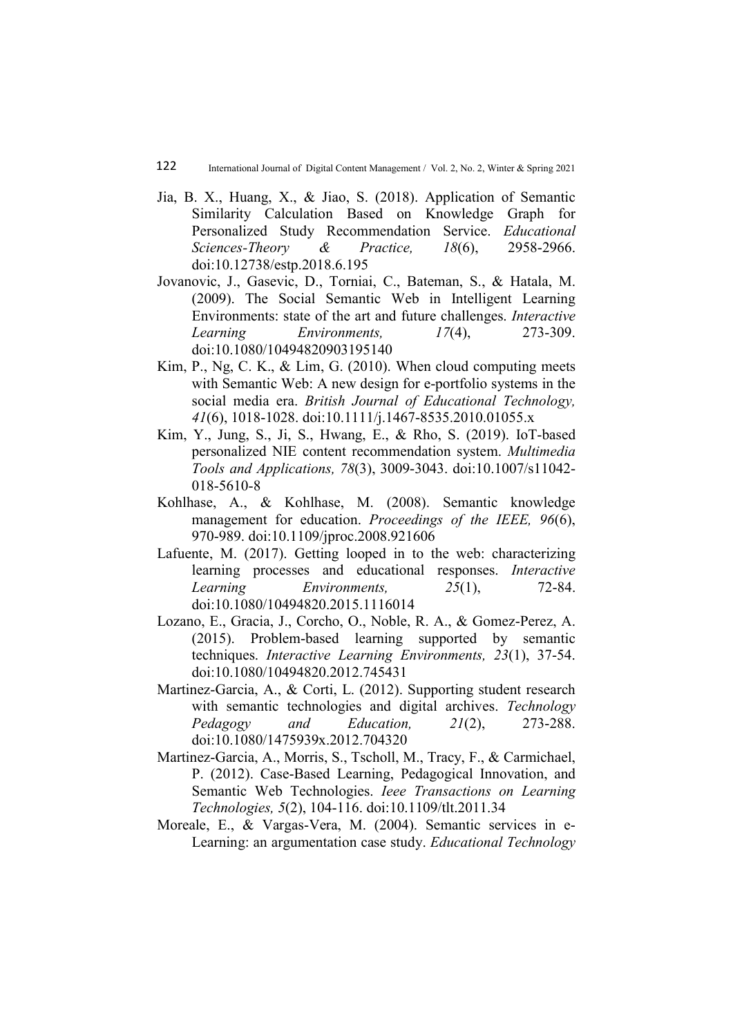- Jia, B. X., Huang, X., & Jiao, S. (2018). Application of Semantic Similarity Calculation Based on Knowledge Graph for Personalized Study Recommendation Service. Educational Sciences-Theory & Practice, 18(6), 2958-2966. doi:10.12738/estp.2018.6.195
- Jovanovic, J., Gasevic, D., Torniai, C., Bateman, S., & Hatala, M. (2009). The Social Semantic Web in Intelligent Learning Environments: state of the art and future challenges. Interactive Learning Environments,  $17(4)$ ,  $273-309$ . doi:10.1080/10494820903195140
- Kim, P., Ng, C. K., & Lim, G. (2010). When cloud computing meets with Semantic Web: A new design for e-portfolio systems in the social media era. British Journal of Educational Technology, 41(6), 1018-1028. doi:10.1111/j.1467-8535.2010.01055.x
- Kim, Y., Jung, S., Ji, S., Hwang, E., & Rho, S. (2019). IoT-based personalized NIE content recommendation system. Multimedia Tools and Applications, 78(3), 3009-3043. doi:10.1007/s11042- 018-5610-8
- Kohlhase, A., & Kohlhase, M. (2008). Semantic knowledge management for education. Proceedings of the IEEE, 96(6), 970-989. doi:10.1109/jproc.2008.921606
- Lafuente, M. (2017). Getting looped in to the web: characterizing learning processes and educational responses. Interactive Learning Environments, 25(1), 72-84. doi:10.1080/10494820.2015.1116014
- Lozano, E., Gracia, J., Corcho, O., Noble, R. A., & Gomez-Perez, A. (2015). Problem-based learning supported by semantic techniques. Interactive Learning Environments, 23(1), 37-54. doi:10.1080/10494820.2012.745431
- Martinez-Garcia, A., & Corti, L. (2012). Supporting student research with semantic technologies and digital archives. Technology Pedagogy and Education, 21(2), 273-288. doi:10.1080/1475939x.2012.704320
- Martinez-Garcia, A., Morris, S., Tscholl, M., Tracy, F., & Carmichael, P. (2012). Case-Based Learning, Pedagogical Innovation, and Semantic Web Technologies. Ieee Transactions on Learning Technologies, 5(2), 104-116. doi:10.1109/tlt.2011.34
- Moreale, E., & Vargas-Vera, M. (2004). Semantic services in e-Learning: an argumentation case study. Educational Technology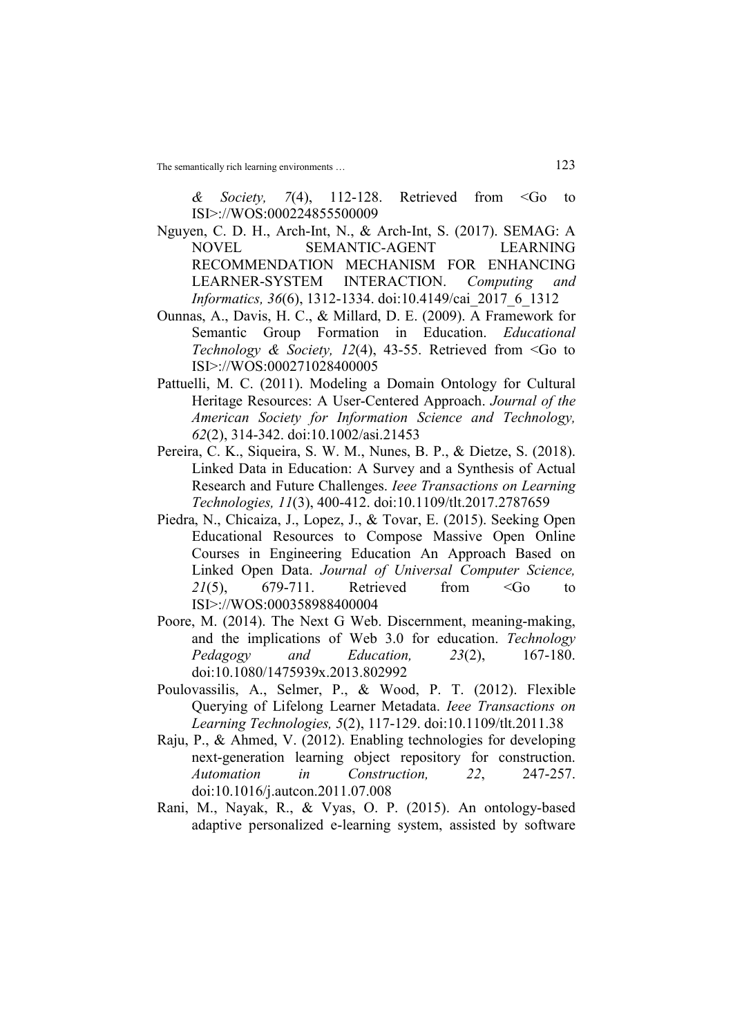& Society, 7(4), 112-128. Retrieved from  $\leq G$  to ISI>://WOS:000224855500009

- Nguyen, C. D. H., Arch-Int, N., & Arch-Int, S. (2017). SEMAG: A NOVEL SEMANTIC-AGENT LEARNING RECOMMENDATION MECHANISM FOR ENHANCING LEARNER-SYSTEM INTERACTION. Computing and Informatics, 36(6), 1312-1334. doi:10.4149/cai\_2017\_6\_1312
- Ounnas, A., Davis, H. C., & Millard, D. E. (2009). A Framework for Semantic Group Formation in Education. *Educational* Technology & Society, 12(4), 43-55. Retrieved from  $\leq$  to to ISI>://WOS:000271028400005
- Pattuelli, M. C. (2011). Modeling a Domain Ontology for Cultural Heritage Resources: A User-Centered Approach. Journal of the American Society for Information Science and Technology, 62(2), 314-342. doi:10.1002/asi.21453
- Pereira, C. K., Siqueira, S. W. M., Nunes, B. P., & Dietze, S. (2018). Linked Data in Education: A Survey and a Synthesis of Actual Research and Future Challenges. Ieee Transactions on Learning Technologies, 11(3), 400-412. doi:10.1109/tlt.2017.2787659
- Piedra, N., Chicaiza, J., Lopez, J., & Tovar, E. (2015). Seeking Open Educational Resources to Compose Massive Open Online Courses in Engineering Education An Approach Based on Linked Open Data. Journal of Universal Computer Science, 21(5), 679-711. Retrieved from  $\leq G$  to ISI>://WOS:000358988400004
- Poore, M. (2014). The Next G Web. Discernment, meaning-making, and the implications of Web 3.0 for education. Technology Pedagogy and Education, 23(2), 167-180. doi:10.1080/1475939x.2013.802992
- Poulovassilis, A., Selmer, P., & Wood, P. T. (2012). Flexible Querying of Lifelong Learner Metadata. Ieee Transactions on Learning Technologies, 5(2), 117-129. doi:10.1109/tlt.2011.38
- Raju, P., & Ahmed, V. (2012). Enabling technologies for developing next-generation learning object repository for construction. Automation in Construction, 22, 247-257. doi:10.1016/j.autcon.2011.07.008
- Rani, M., Nayak, R., & Vyas, O. P. (2015). An ontology-based adaptive personalized e-learning system, assisted by software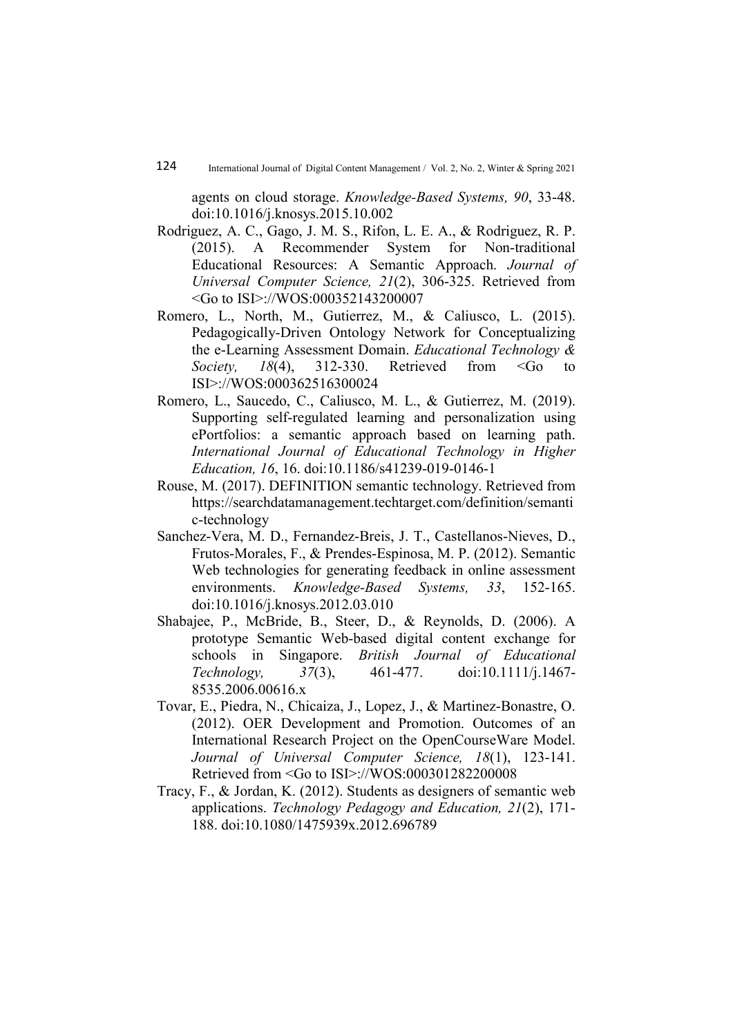agents on cloud storage. Knowledge-Based Systems, 90, 33-48. doi:10.1016/j.knosys.2015.10.002

- Rodriguez, A. C., Gago, J. M. S., Rifon, L. E. A., & Rodriguez, R. P. (2015). A Recommender System for Non-traditional Educational Resources: A Semantic Approach. Journal of Universal Computer Science, 21(2), 306-325. Retrieved from <Go to ISI>://WOS:000352143200007
- Romero, L., North, M., Gutierrez, M., & Caliusco, L. (2015). Pedagogically-Driven Ontology Network for Conceptualizing the e-Learning Assessment Domain. Educational Technology & Society,  $18(4)$ ,  $312-330$ . Retrieved from <Go to ISI>://WOS:000362516300024
- Romero, L., Saucedo, C., Caliusco, M. L., & Gutierrez, M. (2019). Supporting self-regulated learning and personalization using ePortfolios: a semantic approach based on learning path. International Journal of Educational Technology in Higher Education, 16, 16. doi:10.1186/s41239-019-0146-1
- Rouse, M. (2017). DEFINITION semantic technology. Retrieved from https://searchdatamanagement.techtarget.com/definition/semanti c-technology
- Sanchez-Vera, M. D., Fernandez-Breis, J. T., Castellanos-Nieves, D., Frutos-Morales, F., & Prendes-Espinosa, M. P. (2012). Semantic Web technologies for generating feedback in online assessment environments. Knowledge-Based Systems, 33, 152-165. doi:10.1016/j.knosys.2012.03.010
- Shabajee, P., McBride, B., Steer, D., & Reynolds, D. (2006). A prototype Semantic Web-based digital content exchange for schools in Singapore. British Journal of Educational Technology, 37(3), 461-477. doi:10.1111/j.1467- 8535.2006.00616.x
- Tovar, E., Piedra, N., Chicaiza, J., Lopez, J., & Martinez-Bonastre, O. (2012). OER Development and Promotion. Outcomes of an International Research Project on the OpenCourseWare Model. Journal of Universal Computer Science, 18(1), 123-141. Retrieved from <Go to ISI>://WOS:000301282200008
- Tracy, F., & Jordan, K. (2012). Students as designers of semantic web applications. Technology Pedagogy and Education, 21(2), 171- 188. doi:10.1080/1475939x.2012.696789